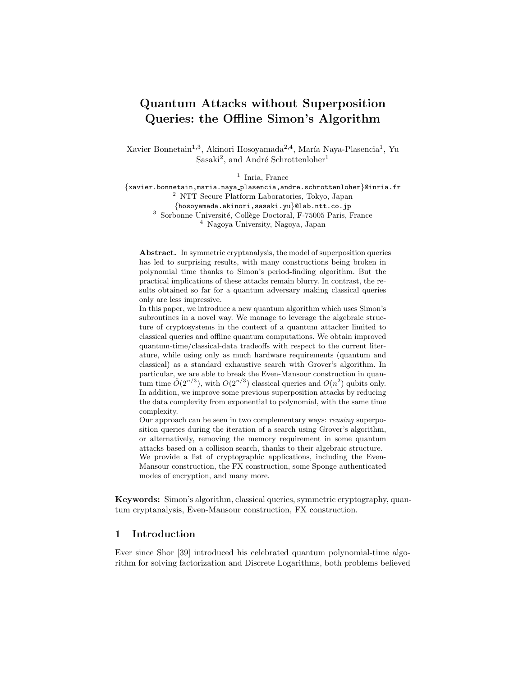# Quantum Attacks without Superposition Queries: the Offline Simon's Algorithm

Xavier Bonnetain<sup>1,3</sup>, Akinori Hosoyamada<sup>2,4</sup>, María Naya-Plasencia<sup>1</sup>, Yu Sasaki<sup>2</sup>, and André Schrottenloher<sup>1</sup>

<sup>1</sup> Inria, France

{xavier.bonnetain,maria.naya plasencia,andre.schrottenloher}@inria.fr <sup>2</sup> NTT Secure Platform Laboratories, Tokyo, Japan {hosoyamada.akinori,sasaki.yu}@lab.ntt.co.jp <sup>3</sup> Sorbonne Université, Collège Doctoral, F-75005 Paris, France <sup>4</sup> Nagoya University, Nagoya, Japan

Abstract. In symmetric cryptanalysis, the model of superposition queries has led to surprising results, with many constructions being broken in polynomial time thanks to Simon's period-finding algorithm. But the practical implications of these attacks remain blurry. In contrast, the results obtained so far for a quantum adversary making classical queries only are less impressive.

In this paper, we introduce a new quantum algorithm which uses Simon's subroutines in a novel way. We manage to leverage the algebraic structure of cryptosystems in the context of a quantum attacker limited to classical queries and offline quantum computations. We obtain improved quantum-time/classical-data tradeoffs with respect to the current literature, while using only as much hardware requirements (quantum and classical) as a standard exhaustive search with Grover's algorithm. In particular, we are able to break the Even-Mansour construction in quantum time  $O(2^{n/3})$ , with  $O(2^{n/3})$  classical queries and  $O(n^2)$  qubits only. In addition, we improve some previous superposition attacks by reducing the data complexity from exponential to polynomial, with the same time complexity.

Our approach can be seen in two complementary ways: reusing superposition queries during the iteration of a search using Grover's algorithm, or alternatively, removing the memory requirement in some quantum attacks based on a collision search, thanks to their algebraic structure. We provide a list of cryptographic applications, including the Even-Mansour construction, the FX construction, some Sponge authenticated modes of encryption, and many more.

Keywords: Simon's algorithm, classical queries, symmetric cryptography, quantum cryptanalysis, Even-Mansour construction, FX construction.

### 1 Introduction

Ever since Shor [39] introduced his celebrated quantum polynomial-time algorithm for solving factorization and Discrete Logarithms, both problems believed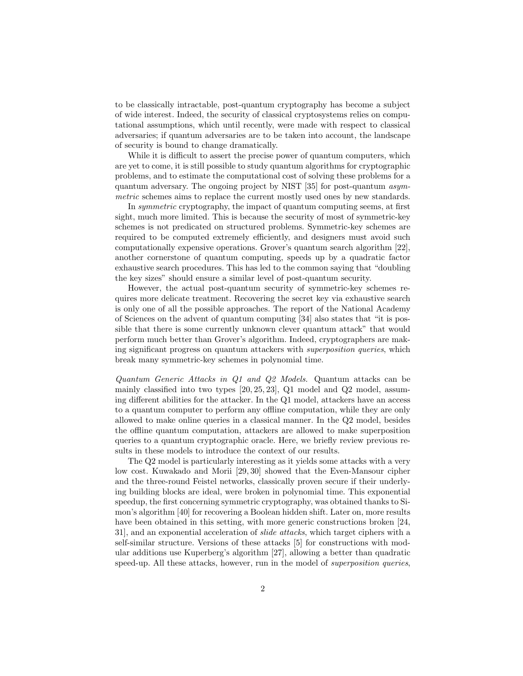to be classically intractable, post-quantum cryptography has become a subject of wide interest. Indeed, the security of classical cryptosystems relies on computational assumptions, which until recently, were made with respect to classical adversaries; if quantum adversaries are to be taken into account, the landscape of security is bound to change dramatically.

While it is difficult to assert the precise power of quantum computers, which are yet to come, it is still possible to study quantum algorithms for cryptographic problems, and to estimate the computational cost of solving these problems for a quantum adversary. The ongoing project by NIST [35] for post-quantum asymmetric schemes aims to replace the current mostly used ones by new standards.

In symmetric cryptography, the impact of quantum computing seems, at first sight, much more limited. This is because the security of most of symmetric-key schemes is not predicated on structured problems. Symmetric-key schemes are required to be computed extremely efficiently, and designers must avoid such computationally expensive operations. Grover's quantum search algorithm [22], another cornerstone of quantum computing, speeds up by a quadratic factor exhaustive search procedures. This has led to the common saying that "doubling the key sizes" should ensure a similar level of post-quantum security.

However, the actual post-quantum security of symmetric-key schemes requires more delicate treatment. Recovering the secret key via exhaustive search is only one of all the possible approaches. The report of the National Academy of Sciences on the advent of quantum computing [34] also states that "it is possible that there is some currently unknown clever quantum attack" that would perform much better than Grover's algorithm. Indeed, cryptographers are making significant progress on quantum attackers with superposition queries, which break many symmetric-key schemes in polynomial time.

Quantum Generic Attacks in Q1 and Q2 Models. Quantum attacks can be mainly classified into two types [20, 25, 23], Q1 model and Q2 model, assuming different abilities for the attacker. In the Q1 model, attackers have an access to a quantum computer to perform any offline computation, while they are only allowed to make online queries in a classical manner. In the Q2 model, besides the offline quantum computation, attackers are allowed to make superposition queries to a quantum cryptographic oracle. Here, we briefly review previous results in these models to introduce the context of our results.

The Q2 model is particularly interesting as it yields some attacks with a very low cost. Kuwakado and Morii [29, 30] showed that the Even-Mansour cipher and the three-round Feistel networks, classically proven secure if their underlying building blocks are ideal, were broken in polynomial time. This exponential speedup, the first concerning symmetric cryptography, was obtained thanks to Simon's algorithm [40] for recovering a Boolean hidden shift. Later on, more results have been obtained in this setting, with more generic constructions broken [24, 31], and an exponential acceleration of slide attacks, which target ciphers with a self-similar structure. Versions of these attacks [5] for constructions with modular additions use Kuperberg's algorithm [27], allowing a better than quadratic speed-up. All these attacks, however, run in the model of *superposition queries*,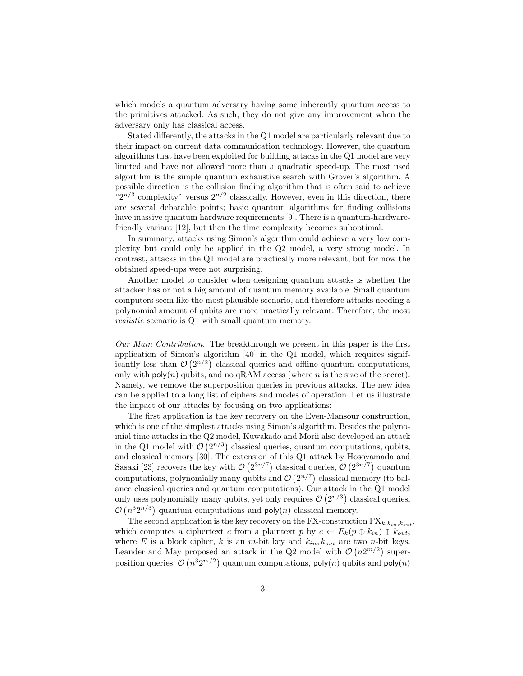which models a quantum adversary having some inherently quantum access to the primitives attacked. As such, they do not give any improvement when the adversary only has classical access.

Stated differently, the attacks in the Q1 model are particularly relevant due to their impact on current data communication technology. However, the quantum algorithms that have been exploited for building attacks in the Q1 model are very limited and have not allowed more than a quadratic speed-up. The most used algortihm is the simple quantum exhaustive search with Grover's algorithm. A possible direction is the collision finding algorithm that is often said to achieve " $2^{n/3}$  complexity" versus  $2^{n/2}$  classically. However, even in this direction, there are several debatable points; basic quantum algorithms for finding collisions have massive quantum hardware requirements [9]. There is a quantum-hardwarefriendly variant [12], but then the time complexity becomes suboptimal.

In summary, attacks using Simon's algorithm could achieve a very low complexity but could only be applied in the Q2 model, a very strong model. In contrast, attacks in the Q1 model are practically more relevant, but for now the obtained speed-ups were not surprising.

Another model to consider when designing quantum attacks is whether the attacker has or not a big amount of quantum memory available. Small quantum computers seem like the most plausible scenario, and therefore attacks needing a polynomial amount of qubits are more practically relevant. Therefore, the most realistic scenario is Q1 with small quantum memory.

Our Main Contribution. The breakthrough we present in this paper is the first application of Simon's algorithm [40] in the Q1 model, which requires significantly less than  $\mathcal{O}(2^{n/2})$  classical queries and offline quantum computations, only with  $poly(n)$  qubits, and no qRAM access (where n is the size of the secret). Namely, we remove the superposition queries in previous attacks. The new idea can be applied to a long list of ciphers and modes of operation. Let us illustrate the impact of our attacks by focusing on two applications:

The first application is the key recovery on the Even-Mansour construction, which is one of the simplest attacks using Simon's algorithm. Besides the polynomial time attacks in the Q2 model, Kuwakado and Morii also developed an attack in the Q1 model with  $\mathcal{O}(2^{n/3})$  classical queries, quantum computations, qubits, and classical memory [30]. The extension of this Q1 attack by Hosoyamada and Sasaki [23] recovers the key with  $\mathcal{O}(2^{3n/7})$  classical queries,  $\mathcal{O}(2^{3n/7})$  quantum computations, polynomially many qubits and  $\mathcal{O}(2^{n/7})$  classical memory (to balance classical queries and quantum computations). Our attack in the Q1 model only uses polynomially many qubits, yet only requires  $\mathcal{O}(2^{n/3})$  classical queries,  $\mathcal{O}(n^3 2^{n/3})$  quantum computations and poly $(n)$  classical memory.

The second application is the key recovery on the FX-construction  $\text{FX}_{k,k_{in},k_{out}}$ which computes a ciphertext c from a plaintext p by  $c \leftarrow E_k(p \oplus k_{in}) \oplus k_{out}$ , where E is a block cipher, k is an m-bit key and  $k_{in}$ ,  $k_{out}$  are two n-bit keys. Leander and May proposed an attack in the Q2 model with  $\mathcal{O}(n2^{m/2})$  superposition queries,  $\mathcal{O}(n^3 2^{m/2})$  quantum computations, poly $(n)$  qubits and poly $(n)$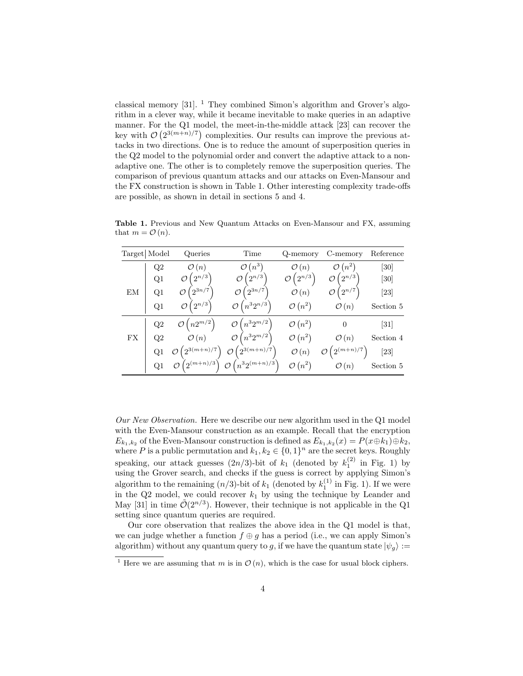classical memory [31]. <sup>1</sup> They combined Simon's algorithm and Grover's algorithm in a clever way, while it became inevitable to make queries in an adaptive manner. For the Q1 model, the meet-in-the-middle attack [23] can recover the key with  $\mathcal{O}(2^{3(m+n)/7})$  complexities. Our results can improve the previous attacks in two directions. One is to reduce the amount of superposition queries in the Q2 model to the polynomial order and convert the adaptive attack to a nonadaptive one. The other is to completely remove the superposition queries. The comparison of previous quantum attacks and our attacks on Even-Mansour and the FX construction is shown in Table 1. Other interesting complexity trade-offs are possible, as shown in detail in sections 5 and 4.

| Target Model |    | Queries                 | Time                                 | Q-memory                          | C-memory                          | Reference         |
|--------------|----|-------------------------|--------------------------------------|-----------------------------------|-----------------------------------|-------------------|
|              | Q2 | $\mathcal{O}(n)$        | $\mathcal{O}(n^3)$                   | $\mathcal{O}(n)$                  | $\lceil (n^2) \rceil$<br>O        | [30]              |
|              | Q1 | $(2^{n/3})$             | $(2^{n/3})$<br>O                     | $\mathcal{O}\left(2^{n/3}\right)$ | $\mathcal{O}\left(2^{n/3}\right)$ | [30]              |
| EM           | Q1 | $O(2^{3n/7})$           | $\binom{2^{3n/7}}{3^n}$              | $\mathcal{O}(n)$                  | $\mathcal{O}\left(2^{n/7}\right)$ | [23]              |
|              | Q1 | $\mathcal{O}(2^{n/3})$  | $\mathcal{O}\left(n^32^{n/3}\right)$ | $\mathcal{O}(n^2)$                | $\mathcal{O}(n)$                  | Section 5         |
|              | Q2 | $\mathcal{O}(n2^{m/2})$ | $n^3 2^{m/2}$                        | $\mathcal{O}(n^2)$                |                                   | $\left[31\right]$ |
| <b>FX</b>    | Q2 | $\mathcal{O}(n)$        | $\left(n^3 2^{m/2}\right)$<br>O      | $\mathcal{O}(n^2)$                | $\mathcal{O}(n)$                  | Section 4         |
|              | Q1 | $(2^{3(m+n)/7})$<br>O   | $\frac{1}{2^{3(m+n)/7}}$<br>O        | $\mathcal{O}(n)$                  | $O(2^{(m+n)/7})$                  | $[23]$            |
|              | Q1 | $O(2^{(m+n)/3})$        | $n^3 2^{(m+n)/3}$<br>O               | $\mathcal{O}(n^2)$                | Ω<br>(n)                          | Section 5         |

Table 1. Previous and New Quantum Attacks on Even-Mansour and FX, assuming that  $m = \mathcal{O}(n)$ .

Our New Observation. Here we describe our new algorithm used in the Q1 model with the Even-Mansour construction as an example. Recall that the encryption  $E_{k_1,k_2}$  of the Even-Mansour construction is defined as  $E_{k_1,k_2}(x) = P(x \oplus k_1) \oplus k_2$ , where P is a public permutation and  $k_1, k_2 \in \{0, 1\}^n$  are the secret keys. Roughly speaking, our attack guesses  $(2n/3)$ -bit of  $k_1$  (denoted by  $k_1^{(2)}$  in Fig. 1) by using the Grover search, and checks if the guess is correct by applying Simon's algorithm to the remaining  $(n/3)$ -bit of  $k_1$  (denoted by  $k_1^{(1)}$  in Fig. 1). If we were in the  $Q2$  model, we could recover  $k_1$  by using the technique by Leander and May [31] in time  $\tilde{\mathcal{O}}(2^{n/3})$ . However, their technique is not applicable in the Q1 setting since quantum queries are required.

Our core observation that realizes the above idea in the Q1 model is that, we can judge whether a function  $f \oplus g$  has a period (i.e., we can apply Simon's algorithm) without any quantum query to g, if we have the quantum state  $|\psi_a\rangle :=$ 

<sup>&</sup>lt;sup>1</sup> Here we are assuming that m is in  $\mathcal{O}(n)$ , which is the case for usual block ciphers.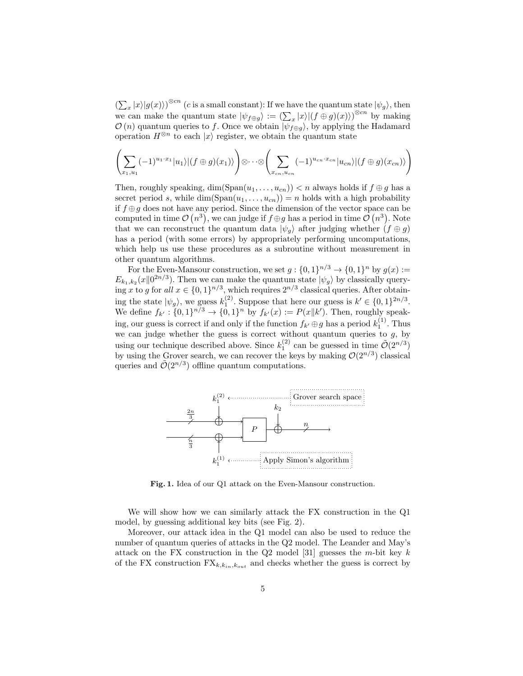$(\sum_x |x\rangle|g(x))\rangle^{\otimes cn}$  (c is a small constant): If we have the quantum state  $|\psi_g\rangle$ , then we can make the quantum state  $|\psi_{f \oplus g}\rangle := (\sum_x |x\rangle |(f \oplus g)(x)\rangle)^{\otimes cn}$  by making  $\mathcal{O}(n)$  quantum queries to f. Once we obtain  $|\psi_{f\oplus g}\rangle$ , by applying the Hadamard operation  $H^{\otimes n}$  to each  $|x\rangle$  register, we obtain the quantum state

$$
\left(\sum_{x_1, u_1} (-1)^{u_1 \cdot x_1} |u_1\rangle |(f \oplus g)(x_1)\rangle \right) \otimes \cdots \otimes \left(\sum_{x_{cn}, u_{cn}} (-1)^{u_{cn} \cdot x_{cn}} |u_{cn}\rangle |(f \oplus g)(x_{cn})\rangle \right)
$$

Then, roughly speaking,  $\dim(\text{Span}(u_1, \ldots, u_{cn})) < n$  always holds if  $f \oplus g$  has a secret period s, while  $\dim(\text{Span}(u_1, \ldots, u_{cn})) = n$  holds with a high probability if  $f \oplus g$  does not have any period. Since the dimension of the vector space can be computed in time  $\mathcal{O}(n^3)$ , we can judge if  $f \oplus g$  has a period in time  $\mathcal{O}(n^3)$ . Note that we can reconstruct the quantum data  $|\psi_q\rangle$  after judging whether  $(f \oplus g)$ has a period (with some errors) by appropriately performing uncomputations, which help us use these procedures as a subroutine without measurement in other quantum algorithms.

For the Even-Mansour construction, we set  $g: \{0,1\}^{n/3} \to \{0,1\}^n$  by  $g(x) :=$  $E_{k_1,k_2}(x||0^{2n/3})$ . Then we can make the quantum state  $|\psi_g\rangle$  by classically querying x to g for all  $x \in \{0,1\}^{n/3}$ , which requires  $2^{n/3}$  classical queries. After obtaining the state  $|\psi_g\rangle$ , we guess  $k_1^{(2)}$ . Suppose that here our guess is  $k' \in \{0,1\}^{2n/3}$ . We define  $f_{k'} : \{0,1\}^{n/3} \to \{0,1\}^n$  by  $f_{k'}(x) := P(x||k')$ . Then, roughly speaking, our guess is correct if and only if the function  $f_{k'} \oplus g$  has a period  $k_1^{(1)}$ . Thus we can judge whether the guess is correct without quantum queries to  $g$ , by using our technique described above. Since  $k_1^{(2)}$  can be guessed in time  $\tilde{\mathcal{O}}(2^{n/3})$ by using the Grover search, we can recover the keys by making  $\mathcal{O}(2^{n/3})$  classical queries and  $\tilde{\mathcal{O}}(2^{n/3})$  offline quantum computations.



Fig. 1. Idea of our Q1 attack on the Even-Mansour construction.

We will show how we can similarly attack the FX construction in the Q1 model, by guessing additional key bits (see Fig. 2).

Moreover, our attack idea in the Q1 model can also be used to reduce the number of quantum queries of attacks in the Q2 model. The Leander and May's attack on the FX construction in the Q2 model [31] guesses the m-bit key  $k$ of the FX construction  $\text{FX}_{k,k_{in},k_{out}}$  and checks whether the guess is correct by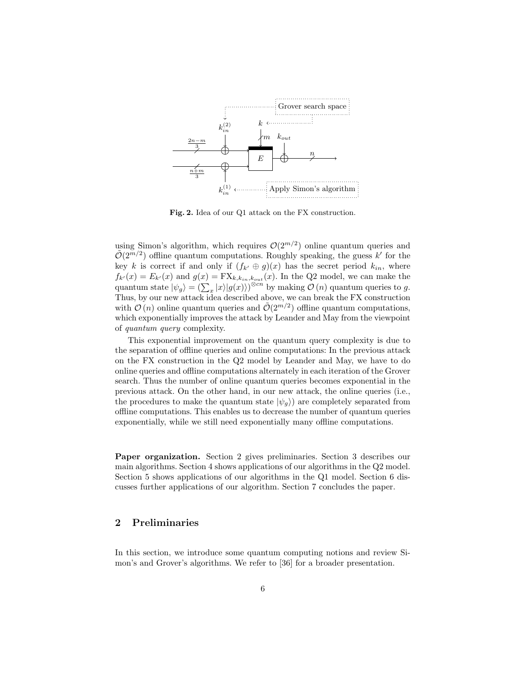

Fig. 2. Idea of our Q1 attack on the FX construction.

using Simon's algorithm, which requires  $\mathcal{O}(2^{m/2})$  online quantum queries and  $\tilde{\mathcal{O}}(2^{m/2})$  offline quantum computations. Roughly speaking, the guess k' for the key k is correct if and only if  $(f_{k'} \oplus g)(x)$  has the secret period  $k_{in}$ , where  $f_{k}(x) = E_{k}(x)$  and  $g(x) = \text{FX}_{k,k_{in},k_{out}}(x)$ . In the Q2 model, we can make the quantum state  $|\psi_g\rangle = (\sum_x |x\rangle |g(x)\rangle)^{\otimes cn}$  by making  $\mathcal{O}(n)$  quantum queries to g. Thus, by our new attack idea described above, we can break the FX construction with  $\mathcal{O}(n)$  online quantum queries and  $\mathcal{O}(2^{m/2})$  offline quantum computations, which exponentially improves the attack by Leander and May from the viewpoint of quantum query complexity.

This exponential improvement on the quantum query complexity is due to the separation of offline queries and online computations: In the previous attack on the FX construction in the Q2 model by Leander and May, we have to do online queries and offline computations alternately in each iteration of the Grover search. Thus the number of online quantum queries becomes exponential in the previous attack. On the other hand, in our new attack, the online queries (i.e., the procedures to make the quantum state  $|\psi_g\rangle$  are completely separated from offline computations. This enables us to decrease the number of quantum queries exponentially, while we still need exponentially many offline computations.

Paper organization. Section 2 gives preliminaries. Section 3 describes our main algorithms. Section 4 shows applications of our algorithms in the Q2 model. Section 5 shows applications of our algorithms in the Q1 model. Section 6 discusses further applications of our algorithm. Section 7 concludes the paper.

# 2 Preliminaries

In this section, we introduce some quantum computing notions and review Simon's and Grover's algorithms. We refer to [36] for a broader presentation.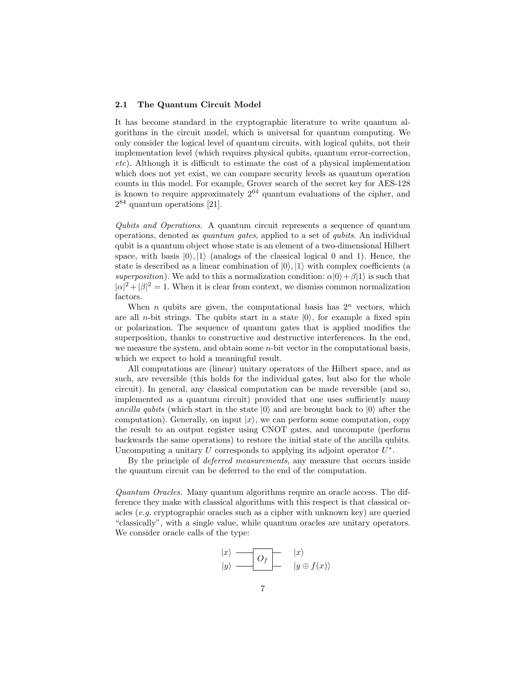### 2.1 The Quantum Circuit Model

It has become standard in the cryptographic literature to write quantum algorithms in the circuit model, which is universal for quantum computing. We only consider the logical level of quantum circuits, with logical qubits, not their implementation level (which requires physical qubits, quantum error-correction, etc). Although it is difficult to estimate the cost of a physical implementation which does not yet exist, we can compare security levels as quantum operation counts in this model. For example, Grover search of the secret key for AES-128 is known to require approximately  $2^{64}$  quantum evaluations of the cipher, and 2 <sup>84</sup> quantum operations [21].

Qubits and Operations. A quantum circuit represents a sequence of quantum operations, denoted as quantum gates, applied to a set of qubits. An individual qubit is a quantum object whose state is an element of a two-dimensional Hilbert space, with basis  $|0\rangle, |1\rangle$  (analogs of the classical logical 0 and 1). Hence, the state is described as a linear combination of  $|0\rangle, |1\rangle$  with complex coefficients (a superposition). We add to this a normalization condition:  $\alpha|0\rangle + \beta|1\rangle$  is such that  $|\alpha|^2 + |\beta|^2 = 1$ . When it is clear from context, we dismiss common normalization factors.

When *n* qubits are given, the computational basis has  $2^n$  vectors, which are all *n*-bit strings. The qubits start in a state  $|0\rangle$ , for example a fixed spin or polarization. The sequence of quantum gates that is applied modifies the superposition, thanks to constructive and destructive interferences. In the end, we measure the system, and obtain some  $n$ -bit vector in the computational basis, which we expect to hold a meaningful result.

All computations are (linear) unitary operators of the Hilbert space, and as such, are reversible (this holds for the individual gates, but also for the whole circuit). In general, any classical computation can be made reversible (and so, implemented as a quantum circuit) provided that one uses sufficiently many ancilla qubits (which start in the state  $|0\rangle$  and are brought back to  $|0\rangle$  after the computation). Generally, on input  $|x\rangle$ , we can perform some computation, copy the result to an output register using CNOT gates, and uncompute (perform backwards the same operations) to restore the initial state of the ancilla qubits. Uncomputing a unitary  $U$  corresponds to applying its adjoint operator  $U^*$ .

By the principle of deferred measurements, any measure that occurs inside the quantum circuit can be deferred to the end of the computation.

Quantum Oracles. Many quantum algorithms require an oracle access. The difference they make with classical algorithms with this respect is that classical oracles (e.g. cryptographic oracles such as a cipher with unknown key) are queried "classically", with a single value, while quantum oracles are unitary operators. We consider oracle calls of the type:

$$
\begin{array}{ccc}\n|x\rangle & \cdots & O_f & x\rangle \\
|y\rangle & \cdots & |y \oplus f(x)\rangle\n\end{array}
$$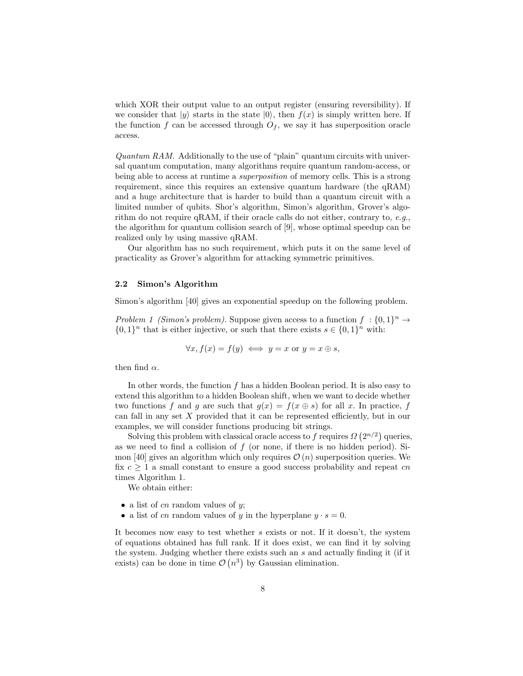which XOR their output value to an output register (ensuring reversibility). If we consider that  $|y\rangle$  starts in the state  $|0\rangle$ , then  $f(x)$  is simply written here. If the function f can be accessed through  $O<sub>f</sub>$ , we say it has superposition oracle access.

Quantum RAM. Additionally to the use of "plain" quantum circuits with universal quantum computation, many algorithms require quantum random-access, or being able to access at runtime a *superposition* of memory cells. This is a strong requirement, since this requires an extensive quantum hardware (the qRAM) and a huge architecture that is harder to build than a quantum circuit with a limited number of qubits. Shor's algorithm, Simon's algorithm, Grover's algorithm do not require qRAM, if their oracle calls do not either, contrary to,  $e.g.,$ the algorithm for quantum collision search of [9], whose optimal speedup can be realized only by using massive qRAM.

Our algorithm has no such requirement, which puts it on the same level of practicality as Grover's algorithm for attacking symmetric primitives.

### 2.2 Simon's Algorithm

Simon's algorithm [40] gives an exponential speedup on the following problem.

Problem 1 (Simon's problem). Suppose given access to a function  $f : \{0,1\}^n \to$  $\{0,1\}^n$  that is either injective, or such that there exists  $s \in \{0,1\}^n$  with:

$$
\forall x, f(x) = f(y) \iff y = x \text{ or } y = x \oplus s,
$$

then find  $\alpha$ .

In other words, the function  $f$  has a hidden Boolean period. It is also easy to extend this algorithm to a hidden Boolean shift, when we want to decide whether two functions f and g are such that  $g(x) = f(x \oplus s)$  for all x. In practice, f can fall in any set X provided that it can be represented efficiently, but in our examples, we will consider functions producing bit strings.

Solving this problem with classical oracle access to f requires  $\Omega(2^{n/2})$  queries, as we need to find a collision of  $f$  (or none, if there is no hidden period). Simon [40] gives an algorithm which only requires  $\mathcal{O}(n)$  superposition queries. We fix  $c \geq 1$  a small constant to ensure a good success probability and repeat cn times Algorithm 1.

We obtain either:

- a list of cn random values of  $y$ ;
- a list of cn random values of y in the hyperplane  $y \cdot s = 0$ .

It becomes now easy to test whether  $s$  exists or not. If it doesn't, the system of equations obtained has full rank. If it does exist, we can find it by solving the system. Judging whether there exists such an s and actually finding it (if it exists) can be done in time  $\mathcal{O}(n^3)$  by Gaussian elimination.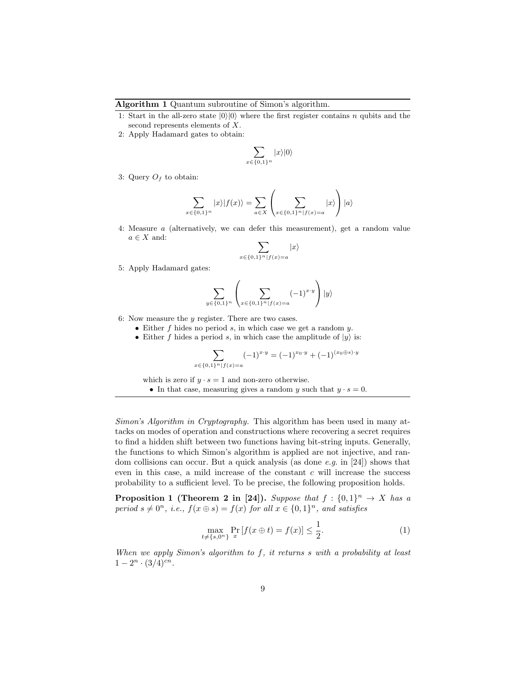#### Algorithm 1 Quantum subroutine of Simon's algorithm.

- 1: Start in the all-zero state  $|0\rangle|0\rangle$  where the first register contains n qubits and the second represents elements of X.
- 2: Apply Hadamard gates to obtain:

$$
\sum_{x \in \{0,1\}^n} |x\rangle |0\rangle
$$

3: Query  $O_f$  to obtain:

$$
\sum_{x \in \{0,1\}^n} |x\rangle |f(x)\rangle = \sum_{a \in X} \left( \sum_{x \in \{0,1\}^n |f(x)| = a} |x\rangle \right) |a\rangle
$$

4: Measure a (alternatively, we can defer this measurement), get a random value  $a \in X$  and:

$$
\sum_{x \in \{0,1\}^n \mid f(x) = a} |x\rangle
$$

5: Apply Hadamard gates:

$$
\sum_{y \in \{0,1\}^n} \left( \sum_{x \in \{0,1\}^n | f(x) = a} (-1)^{x \cdot y} \right) |y\rangle
$$

6: Now measure the  $y$  register. There are two cases.

 $x($ 

- Either  $f$  hides no period  $s$ , in which case we get a random  $y$ .
- Either f hides a period s, in which case the amplitude of  $|y\rangle$  is:

$$
\sum_{\epsilon \in \{0,1\}^n | f(x) = a} (-1)^{x \cdot y} = (-1)^{x_0 \cdot y} + (-1)^{(x_0 \oplus s) \cdot y}
$$

which is zero if  $y \cdot s = 1$  and non-zero otherwise.

• In that case, measuring gives a random y such that  $y \cdot s = 0$ .

Simon's Algorithm in Cryptography. This algorithm has been used in many attacks on modes of operation and constructions where recovering a secret requires to find a hidden shift between two functions having bit-string inputs. Generally, the functions to which Simon's algorithm is applied are not injective, and random collisions can occur. But a quick analysis (as done e.g. in [24]) shows that even in this case, a mild increase of the constant  $c$  will increase the success probability to a sufficient level. To be precise, the following proposition holds.

**Proposition 1 (Theorem 2 in [24]).** Suppose that  $f: \{0,1\}^n \rightarrow X$  has a period  $s \neq 0^n$ , i.e.,  $f(x \oplus s) = f(x)$  for all  $x \in \{0,1\}^n$ , and satisfies

$$
\max_{t \neq \{s,0^n\}} \Pr_{x} \left[ f(x \oplus t) = f(x) \right] \le \frac{1}{2}.\tag{1}
$$

When we apply Simon's algorithm to  $f$ , it returns  $s$  with a probability at least  $1-2^n \cdot (3/4)^{cn}.$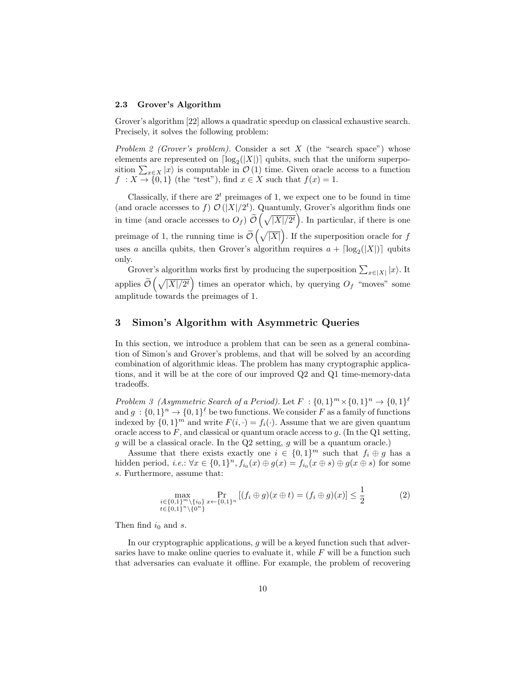#### 2.3 Grover's Algorithm

Grover's algorithm [22] allows a quadratic speedup on classical exhaustive search. Precisely, it solves the following problem:

Problem 2 (Grover's problem). Consider a set X (the "search space") whose elements are represented on  $\lceil \log_2(|X|) \rceil$  qubits, such that the uniform superposition  $\sum_{x \in X} |x\rangle$  is computable in  $\mathcal{O}(1)$  time. Given oracle access to a function  $f: X \to \{0,1\}$  (the "test"), find  $x \in X$  such that  $f(x) = 1$ .

Classically, if there are  $2<sup>t</sup>$  preimages of 1, we expect one to be found in time (and oracle accesses to f)  $\mathcal{O}(|X|/2^t)$ . Quantumly, Grover's algorithm finds one in time (and oracle accesses to  $O_f$ )  $\widetilde{\mathcal{O}}(\sqrt{|X|/2^t})$ . In particular, if there is one preimage of 1, the running time is  $\tilde{\mathcal{O}}(\sqrt{|X|})$ . If the superposition oracle for f uses a ancilla qubits, then Grover's algorithm requires  $a + \lfloor \log_2(|X|) \rfloor$  qubits only.

Grover's algorithm works first by producing the superposition  $\sum_{x \in |X|} |x\rangle$ . It applies  $\tilde{\mathcal{O}}\left(\sqrt{|X|/2^t}\right)$  times an operator which, by querying  $O_f$  "moves" some amplitude towards the preimages of 1.

### 3 Simon's Algorithm with Asymmetric Queries

In this section, we introduce a problem that can be seen as a general combination of Simon's and Grover's problems, and that will be solved by an according combination of algorithmic ideas. The problem has many cryptographic applications, and it will be at the core of our improved Q2 and Q1 time-memory-data tradeoffs.

Problem 3 (Asymmetric Search of a Period). Let  $F: \{0,1\}^m \times \{0,1\}^n \rightarrow \{0,1\}^{\ell}$ and  $g: \{0,1\}^n \to \{0,1\}^{\ell}$  be two functions. We consider F as a family of functions indexed by  $\{0,1\}^m$  and write  $F(i, \cdot) = f_i(\cdot)$ . Assume that we are given quantum oracle access to  $F$ , and classical or quantum oracle access to  $q$ . (In the Q1 setting,  $g$  will be a classical oracle. In the Q2 setting,  $g$  will be a quantum oracle.)

Assume that there exists exactly one  $i \in \{0,1\}^m$  such that  $f_i \oplus g$  has a hidden period, *i.e.*:  $\forall x \in \{0,1\}^n$ ,  $f_{i_0}(x) \oplus g(x) = f_{i_0}(x \oplus s) \oplus g(x \oplus s)$  for some s. Furthermore, assume that:

$$
\max_{\substack{i \in \{0,1\}^m \setminus \{i_0\} \\ t \in \{0,1\}^n \setminus \{0\}^n}} \Pr_{x \leftarrow \{0,1\}^n} [(f_i \oplus g)(x \oplus t) = (f_i \oplus g)(x)] \le \frac{1}{2}
$$
(2)

Then find  $i_0$  and s.

In our cryptographic applications, q will be a keyed function such that adversaries have to make online queries to evaluate it, while  $F$  will be a function such that adversaries can evaluate it offline. For example, the problem of recovering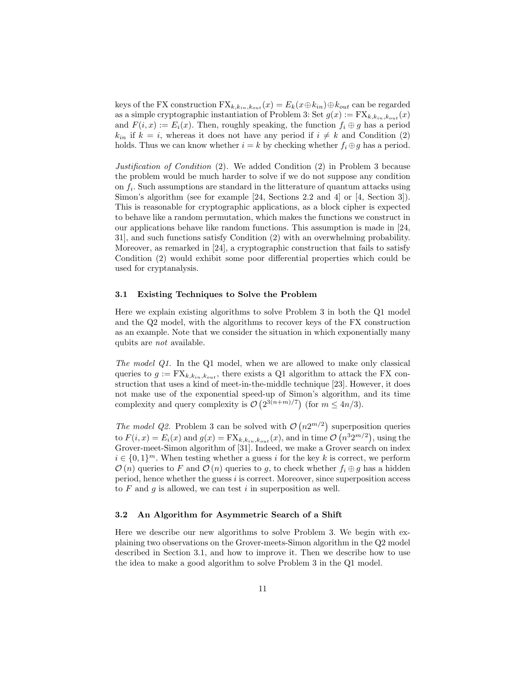keys of the FX construction  $FX_{k,k_{in},k_{out}}(x) = E_k(x \oplus k_{in}) \oplus k_{out}$  can be regarded as a simple cryptographic instantiation of Problem 3: Set  $g(x) := \text{FX}_{k, k_{in}, k_{out}}(x)$ and  $F(i, x) := E_i(x)$ . Then, roughly speaking, the function  $f_i \oplus g$  has a period  $k_{in}$  if  $k = i$ , whereas it does not have any period if  $i \neq k$  and Condition (2) holds. Thus we can know whether  $i = k$  by checking whether  $f_i \oplus g$  has a period.

Justification of Condition (2). We added Condition (2) in Problem 3 because the problem would be much harder to solve if we do not suppose any condition on  $f_i$ . Such assumptions are standard in the litterature of quantum attacks using Simon's algorithm (see for example [24, Sections 2.2 and 4] or [4, Section 3]). This is reasonable for cryptographic applications, as a block cipher is expected to behave like a random permutation, which makes the functions we construct in our applications behave like random functions. This assumption is made in [24, 31], and such functions satisfy Condition (2) with an overwhelming probability. Moreover, as remarked in [24], a cryptographic construction that fails to satisfy Condition (2) would exhibit some poor differential properties which could be used for cryptanalysis.

### 3.1 Existing Techniques to Solve the Problem

Here we explain existing algorithms to solve Problem 3 in both the Q1 model and the Q2 model, with the algorithms to recover keys of the FX construction as an example. Note that we consider the situation in which exponentially many qubits are not available.

The model Q1. In the Q1 model, when we are allowed to make only classical queries to  $g := \text{FX}_{k, k_{in}, k_{out}}$ , there exists a Q1 algorithm to attack the FX construction that uses a kind of meet-in-the-middle technique [23]. However, it does not make use of the exponential speed-up of Simon's algorithm, and its time complexity and query complexity is  $\mathcal{O}(2^{3(n+m)/7})$  (for  $m \leq 4n/3$ ).

The model Q2. Problem 3 can be solved with  $\mathcal{O}(n2^{m/2})$  superposition queries to  $F(i, x) = E_i(x)$  and  $g(x) = \text{FX}_{k, k_{in}, k_{out}}(x)$ , and in time  $\mathcal{O}(n^3 2^{m/2})$ , using the Grover-meet-Simon algorithm of [31]. Indeed, we make a Grover search on index  $i \in \{0,1\}^m$ . When testing whether a guess i for the key k is correct, we perform  $\mathcal{O}(n)$  queries to F and  $\mathcal{O}(n)$  queries to q, to check whether  $f_i \oplus q$  has a hidden period, hence whether the guess  $i$  is correct. Moreover, since superposition access to  $F$  and  $g$  is allowed, we can test  $i$  in superposition as well.

#### 3.2 An Algorithm for Asymmetric Search of a Shift

Here we describe our new algorithms to solve Problem 3. We begin with explaining two observations on the Grover-meets-Simon algorithm in the Q2 model described in Section 3.1, and how to improve it. Then we describe how to use the idea to make a good algorithm to solve Problem 3 in the Q1 model.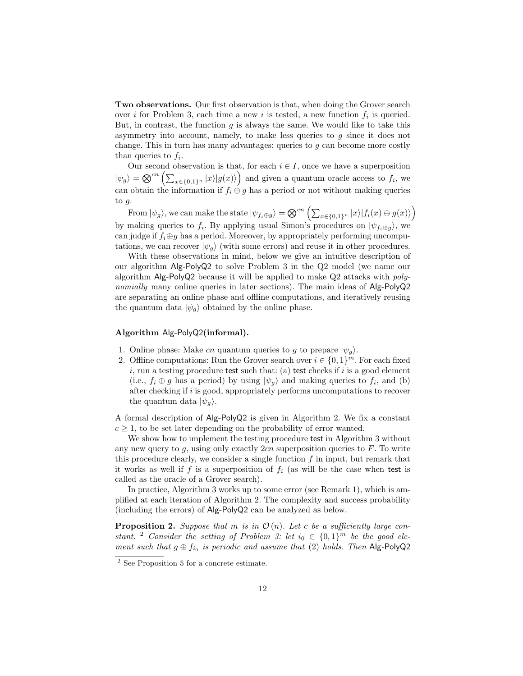Two observations. Our first observation is that, when doing the Grover search over *i* for Problem 3, each time a new *i* is tested, a new function  $f_i$  is queried. But, in contrast, the function  $g$  is always the same. We would like to take this asymmetry into account, namely, to make less queries to  $q$  since it does not change. This in turn has many advantages: queries to  $g$  can become more costly than queries to  $f_i$ .

Our second observation is that, for each  $i \in I$ , once we have a superposition  $|\psi_g\rangle = \bigotimes^{cn} \left( \sum_{x \in \{0,1\}^n} |x\rangle |g(x)\rangle \right)$  and given a quantum oracle access to  $f_i$ , we can obtain the information if  $f_i \oplus g$  has a period or not without making queries to g.

From  $|\psi_g\rangle$ , we can make the state  $|\psi_{f_i\oplus g}\rangle = \bigotimes^{cn} \left( \sum_{x\in\{0,1\}^n} |x\rangle |f_i(x)\oplus g(x)\rangle \right)$ by making queries to  $f_i$ . By applying usual Simon's procedures on  $|\psi_{f_i\oplus g}\rangle$ , we can judge if  $f_i \oplus g$  has a period. Moreover, by appropriately performing uncomputations, we can recover  $|\psi_g\rangle$  (with some errors) and reuse it in other procedures.

With these observations in mind, below we give an intuitive description of our algorithm Alg-PolyQ2 to solve Problem 3 in the Q2 model (we name our algorithm Alg-PolyQ2 because it will be applied to make Q2 attacks with polynomially many online queries in later sections). The main ideas of Alg-PolyQ2 are separating an online phase and offline computations, and iteratively reusing the quantum data  $|\psi_q\rangle$  obtained by the online phase.

#### Algorithm Alg-PolyQ2(informal).

- 1. Online phase: Make *cn* quantum queries to g to prepare  $|\psi_a\rangle$ .
- 2. Offline computations: Run the Grover search over  $i \in \{0,1\}^m$ . For each fixed  $i$ , run a testing procedure test such that: (a) test checks if  $i$  is a good element (i.e.,  $f_i \oplus g$  has a period) by using  $|\psi_g\rangle$  and making queries to  $f_i$ , and (b) after checking if i is good, appropriately performs uncomputations to recover the quantum data  $|\psi_a\rangle$ .

A formal description of Alg-PolyQ2 is given in Algorithm 2. We fix a constant  $c \geq 1$ , to be set later depending on the probability of error wanted.

We show how to implement the testing procedure test in Algorithm 3 without any new query to  $g$ , using only exactly  $2cn$  superposition queries to  $F$ . To write this procedure clearly, we consider a single function  $f$  in input, but remark that it works as well if f is a superposition of  $f_i$  (as will be the case when test is called as the oracle of a Grover search).

In practice, Algorithm 3 works up to some error (see Remark 1), which is amplified at each iteration of Algorithm 2. The complexity and success probability (including the errors) of Alg-PolyQ2 can be analyzed as below.

**Proposition 2.** Suppose that m is in  $\mathcal{O}(n)$ . Let c be a sufficiently large constant. <sup>2</sup> Consider the setting of Problem 3: let  $i_0 \in \{0,1\}^m$  be the good element such that  $g \oplus f_{i_0}$  is periodic and assume that (2) holds. Then Alg-PolyQ2

<sup>2</sup> See Proposition 5 for a concrete estimate.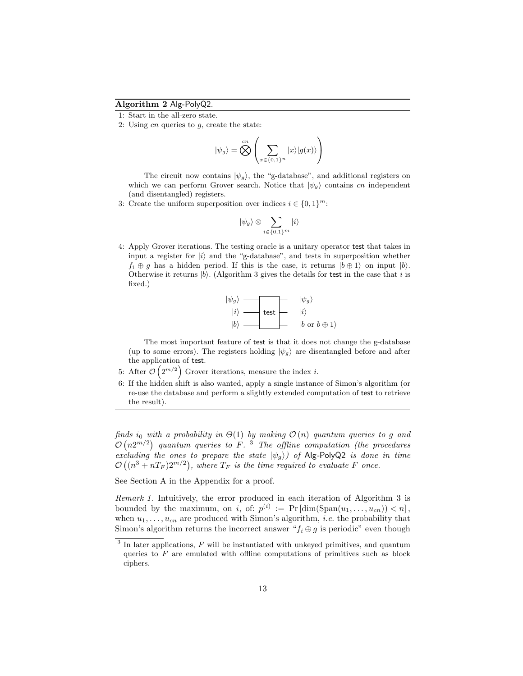### Algorithm 2 Alg-PolyQ2.

- 1: Start in the all-zero state.
- 2: Using  $cn$  queries to  $g$ , create the state:

$$
|\psi_g\rangle = \bigotimes^{cn} \left( \sum_{x \in \{0,1\}^n} |x\rangle |g(x)\rangle \right)
$$

The circuit now contains  $|\psi_q\rangle$ , the "g-database", and additional registers on which we can perform Grover search. Notice that  $|\psi_{q}\rangle$  contains cn independent (and disentangled) registers.

3: Create the uniform superposition over indices  $i \in \{0,1\}^m$ :

$$
|\psi_g\rangle\otimes\sum_{i\in\{0,1\}^m}|i\rangle
$$

4: Apply Grover iterations. The testing oracle is a unitary operator test that takes in input a register for  $|i\rangle$  and the "g-database", and tests in superposition whether  $f_i \oplus g$  has a hidden period. If this is the case, it returns  $|b \oplus 1\rangle$  on input  $|b\rangle$ . Otherwise it returns  $|b\rangle$ . (Algorithm 3 gives the details for test in the case that i is fixed.)

$$
|\psi_g\rangle \longrightarrow |\text{test} \longrightarrow |\psi_g\rangle
$$
  

$$
|b\rangle \longrightarrow |\text{best} \longrightarrow |b \text{ or } b \oplus 1\rangle
$$

The most important feature of test is that it does not change the g-database (up to some errors). The registers holding  $|\psi_g\rangle$  are disentangled before and after the application of test.

- 5: After  $\mathcal{O}\left(2^{m/2}\right)$  Grover iterations, measure the index *i*.
- 6: If the hidden shift is also wanted, apply a single instance of Simon's algorithm (or re-use the database and perform a slightly extended computation of test to retrieve the result).

finds i<sub>0</sub> with a probability in  $\Theta(1)$  by making  $\mathcal{O}(n)$  quantum queries to g and  $\mathcal{O}(n2^{m/2})$  quantum queries to F.<sup>3</sup> The offline computation (the procedures excluding the ones to prepare the state  $|\psi_q\rangle$ ) of Alg-PolyQ2 is done in time  $\mathcal{O}\left((n^3 + nT_F)2^{m/2}\right)$ , where  $T_F$  is the time required to evaluate F once.

See Section A in the Appendix for a proof.

Remark 1. Intuitively, the error produced in each iteration of Algorithm 3 is bounded by the maximum, on *i*, of:  $p^{(i)} := \Pr[\dim(\text{Span}(u_1, \ldots, u_{cn})) < n],$ when  $u_1, \ldots, u_{cn}$  are produced with Simon's algorithm, *i.e.* the probability that Simon's algorithm returns the incorrect answer " $f_i \oplus g$  is periodic" even though

<sup>&</sup>lt;sup>3</sup> In later applications, F will be instantiated with unkeyed primitives, and quantum queries to  $F$  are emulated with offline computations of primitives such as block ciphers.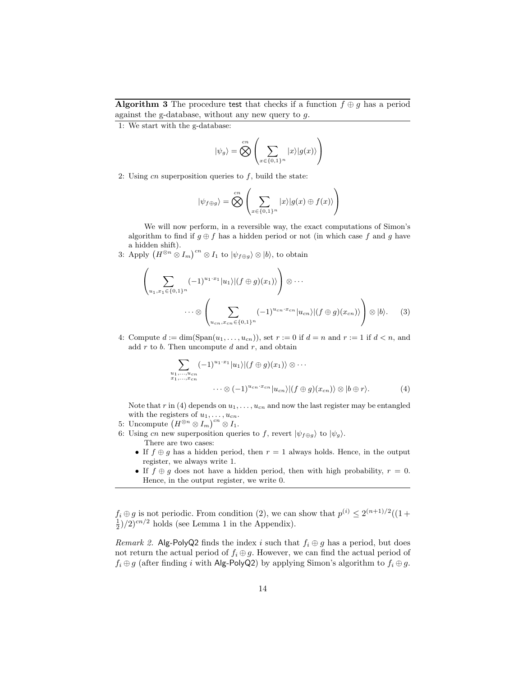**Algorithm 3** The procedure test that checks if a function  $f \oplus g$  has a period against the g-database, without any new query to g.

1: We start with the g-database:

$$
|\psi_g\rangle = \bigotimes^{cn} \left( \sum_{x \in \{0,1\}^n} |x\rangle |g(x)\rangle \right)
$$

2: Using  $cn$  superposition queries to  $f$ , build the state:

$$
|\psi_{f\oplus g}\rangle = \bigotimes^{cn} \left( \sum_{x \in \{0,1\}^n} |x\rangle |g(x) \oplus f(x)\rangle \right)
$$

We will now perform, in a reversible way, the exact computations of Simon's algorithm to find if  $g \oplus f$  has a hidden period or not (in which case f and g have a hidden shift).

3: Apply  $(H^{\otimes n} \otimes I_m)^{cn} \otimes I_1$  to  $|\psi_{f \oplus g} \rangle \otimes |b\rangle$ , to obtain

$$
\left(\sum_{u_1,x_1 \in \{0,1\}^n} (-1)^{u_1 \cdot x_1} |u_1\rangle |(f \oplus g)(x_1)\rangle \right) \otimes \cdots
$$

$$
\cdots \otimes \left(\sum_{u_{cn},x_{cn} \in \{0,1\}^n} (-1)^{u_{cn} \cdot x_{cn}} |u_{cn}\rangle |(f \oplus g)(x_{cn})\rangle \right) \otimes |b\rangle.
$$
 (3)

4: Compute  $d := \dim(\text{Span}(u_1, \ldots, u_{cn}))$ , set  $r := 0$  if  $d = n$  and  $r := 1$  if  $d < n$ , and add  $r$  to  $b$ . Then uncompute  $d$  and  $r$ , and obtain

$$
\sum_{\substack{u_1,\ldots,u_{cn} \\ x_1,\ldots,x_{cn}}} (-1)^{u_1 \cdot x_1} |u_1\rangle |(f \oplus g)(x_1)\rangle \otimes \cdots
$$
  

$$
\cdots \otimes (-1)^{u_{cn} \cdot x_{cn}} |u_{cn}\rangle |(f \oplus g)(x_{cn})\rangle \otimes |b \oplus r\rangle.
$$
 (4)

Note that r in (4) depends on  $u_1, \ldots, u_{cn}$  and now the last register may be entangled with the registers of  $u_1, \ldots, u_{cn}$ .

- 5: Uncompute  $(H^{\otimes n} \otimes I_m)^{cn} \otimes I_1$ .
- 6: Using cn new superposition queries to f, revert  $|\psi_{f\oplus g}\rangle$  to  $|\psi_{g}\rangle$ . There are two cases:
	- If  $f \oplus g$  has a hidden period, then  $r = 1$  always holds. Hence, in the output register, we always write 1.
	- If  $f \oplus q$  does not have a hidden period, then with high probability,  $r = 0$ . Hence, in the output register, we write 0.

 $f_i \oplus g$  is not periodic. From condition (2), we can show that  $p^{(i)} \leq 2^{(n+1)/2}((1+\)$  $(\frac{1}{2})/2)^{cn/2}$  holds (see Lemma 1 in the Appendix).

*Remark 2.* Alg-PolyQ2 finds the index i such that  $f_i \oplus g$  has a period, but does not return the actual period of  $f_i \oplus g$ . However, we can find the actual period of  $f_i \oplus g$  (after finding i with Alg-PolyQ2) by applying Simon's algorithm to  $f_i \oplus g$ .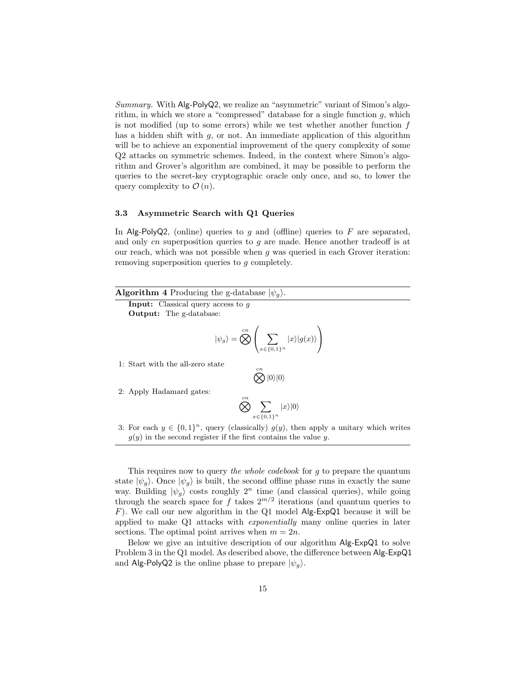Summary. With Alg-PolyQ2, we realize an "asymmetric" variant of Simon's algorithm, in which we store a "compressed" database for a single function  $g$ , which is not modified (up to some errors) while we test whether another function  $f$ has a hidden shift with  $g$ , or not. An immediate application of this algorithm will be to achieve an exponential improvement of the query complexity of some Q2 attacks on symmetric schemes. Indeed, in the context where Simon's algorithm and Grover's algorithm are combined, it may be possible to perform the queries to the secret-key cryptographic oracle only once, and so, to lower the query complexity to  $\mathcal{O}(n)$ .

### 3.3 Asymmetric Search with Q1 Queries

In Alg-PolyQ2, (online) queries to q and (offline) queries to F are separated, and only  $cn$  superposition queries to  $g$  are made. Hence another tradeoff is at our reach, which was not possible when  $q$  was queried in each Grover iteration: removing superposition queries to g completely.

| <b>Algorithm 4</b> Producing the g-database $ \psi_a\rangle$ .                                               |  |  |  |  |
|--------------------------------------------------------------------------------------------------------------|--|--|--|--|
| <b>Input:</b> Classical query access to $q$                                                                  |  |  |  |  |
| <b>Output:</b> The g-database:                                                                               |  |  |  |  |
| $ \psi_g\rangle = \bigotimes^{cn} \left( \sum_{x \in I_0 + 1^n}  x\rangle  g(x)\rangle \right).$             |  |  |  |  |
| 1: Start with the all-zero state<br>cn<br>$\bigotimes  0\rangle  0\rangle$                                   |  |  |  |  |
| 2: Apply Hadamard gates:<br>cn<br>$\bigotimes \quad \sum_{\Box} \;  x\rangle  0\rangle$<br>$x \in \{0,1\}^n$ |  |  |  |  |
| 3. For each $u \in \{0, 1\}^n$ query (classically) $g(u)$ then apply a unitary which writes                  |  |  |  |  |

3: For each  $y \in \{0,1\}^n$ , query (classically)  $g(y)$ , then apply a unitary which writes  $g(y)$  in the second register if the first contains the value y.

This requires now to query the whole codebook for q to prepare the quantum state  $|\psi_a\rangle$ . Once  $|\psi_a\rangle$  is built, the second offline phase runs in exactly the same way. Building  $|\psi_g\rangle$  costs roughly  $2^n$  time (and classical queries), while going through the search space for f takes  $2^{m/2}$  iterations (and quantum queries to F). We call our new algorithm in the Q1 model Alg-ExpQ1 because it will be applied to make Q1 attacks with exponentially many online queries in later sections. The optimal point arrives when  $m = 2n$ .

Below we give an intuitive description of our algorithm Alg-ExpQ1 to solve Problem 3 in the Q1 model. As described above, the difference between Alg-ExpQ1 and Alg-PolyQ2 is the online phase to prepare  $|\psi_a\rangle$ .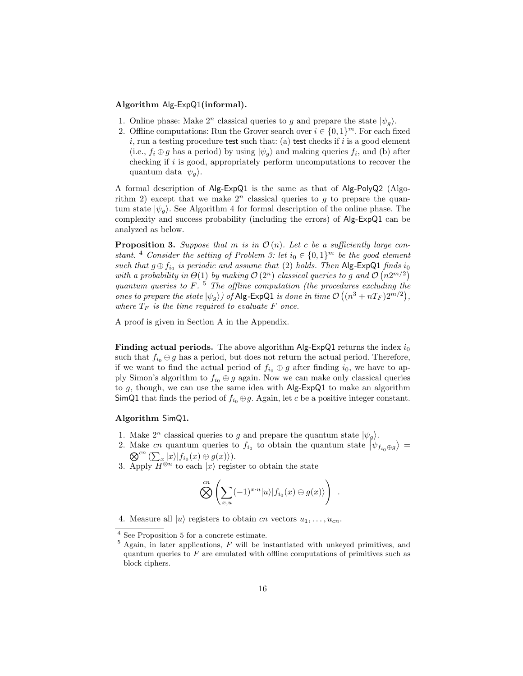### Algorithm Alg-ExpQ1(informal).

- 1. Online phase: Make  $2^n$  classical queries to g and prepare the state  $|\psi_a\rangle$ .
- 2. Offline computations: Run the Grover search over  $i \in \{0,1\}^m$ . For each fixed  $i$ , run a testing procedure test such that: (a) test checks if  $i$  is a good element (i.e.,  $f_i \oplus g$  has a period) by using  $|\psi_g\rangle$  and making queries  $f_i$ , and (b) after checking if i is good, appropriately perform uncomputations to recover the quantum data  $|\psi_{q}\rangle$ .

A formal description of Alg-ExpQ1 is the same as that of Alg-PolyQ2 (Algorithm 2) except that we make  $2^n$  classical queries to g to prepare the quantum state  $|\psi_a\rangle$ . See Algorithm 4 for formal description of the online phase. The complexity and success probability (including the errors) of Alg-ExpQ1 can be analyzed as below.

**Proposition 3.** Suppose that m is in  $\mathcal{O}(n)$ . Let c be a sufficiently large constant. <sup>4</sup> Consider the setting of Problem 3: let  $i_0 \in \{0,1\}^m$  be the good element such that  $g \oplus f_{i_0}$  is periodic and assume that (2) holds. Then Alg-ExpQ1 finds  $i_0$ with a probability in  $\Theta(1)$  by making  $\mathcal{O}(2^n)$  classical queries to g and  $\mathcal{O}(n2^{m/2})$ quantum queries to  $F$ .<sup>5</sup> The offline computation (the procedures excluding the ones to prepare the state  $|\psi_g\rangle$  of Alg-ExpQ1 is done in time  $\mathcal{O}\left((n^3 + nT_F)2^{m/2}\right)$ , where  $T_F$  is the time required to evaluate F once.

A proof is given in Section A in the Appendix.

**Finding actual periods.** The above algorithm Alg-ExpQ1 returns the index  $i_0$ such that  $f_{i_0} \oplus g$  has a period, but does not return the actual period. Therefore, if we want to find the actual period of  $f_{i_0} \oplus g$  after finding  $i_0$ , we have to apply Simon's algorithm to  $f_{i_0} \oplus g$  again. Now we can make only classical queries to  $g$ , though, we can use the same idea with  $\mathsf{Alg}\text{-}\mathsf{ExpQ1}$  to make an algorithm SimQ1 that finds the period of  $f_{i_0} \oplus g$ . Again, let c be a positive integer constant.

### Algorithm SimQ1.

- 1. Make  $2^n$  classical queries to g and prepare the quantum state  $|\psi_a\rangle$ .
- 2. Make cn quantum queries to  $f_{i_0}$  to obtain the quantum state  $|\psi_{f_{i_0}\oplus g}\rangle =$ <br> $\bigotimes^{cn} (\sum_x |x\rangle |f_{i_0}(x) \oplus g(x))$ . <sup>cn</sup>  $(\sum_x |x\rangle |f_{i_0}(x) \oplus g(x)\rangle).$
- 3. Apply  $H^{\otimes n}$  to each  $|x\rangle$  register to obtain the state

$$
\bigotimes^{cn} \left( \sum_{x,u} (-1)^{x \cdot u} |u\rangle |f_{i_0}(x) \oplus g(x)\rangle \right) .
$$

4. Measure all  $|u\rangle$  registers to obtain cn vectors  $u_1, \ldots, u_{cn}$ .

<sup>4</sup> See Proposition 5 for a concrete estimate.

 $5$  Again, in later applications,  $F$  will be instantiated with unkeyed primitives, and quantum queries to  $F$  are emulated with offline computations of primitives such as block ciphers.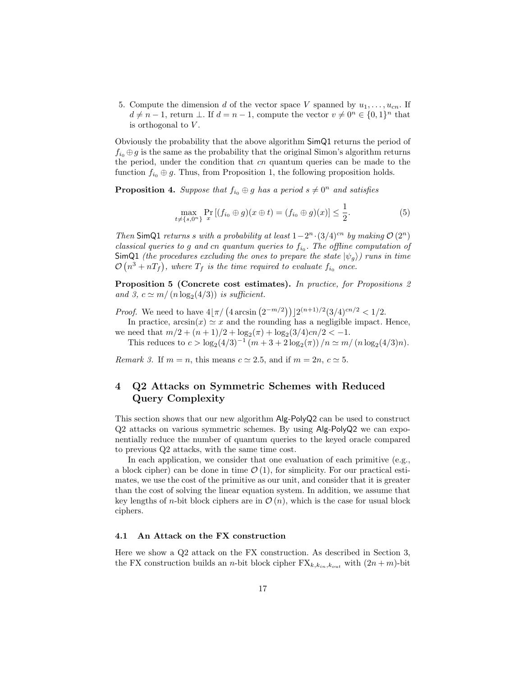5. Compute the dimension d of the vector space V spanned by  $u_1, \ldots, u_{cn}$ . If  $d \neq n-1$ , return  $\perp$ . If  $d = n-1$ , compute the vector  $v \neq 0^n \in \{0,1\}^n$  that is orthogonal to  $V$ .

Obviously the probability that the above algorithm SimQ1 returns the period of  $f_{i_0} \oplus g$  is the same as the probability that the original Simon's algorithm returns the period, under the condition that cn quantum queries can be made to the function  $f_{i_0} \oplus g$ . Thus, from Proposition 1, the following proposition holds.

**Proposition 4.** Suppose that  $f_{i_0} \oplus g$  has a period  $s \neq 0^n$  and satisfies

$$
\max_{t \neq \{s,0^n\}} \Pr_{x} [(f_{i_0} \oplus g)(x \oplus t) = (f_{i_0} \oplus g)(x)] \leq \frac{1}{2}.
$$
 (5)

Then SimQ1 returns s with a probability at least  $1-2^n \cdot (3/4)^{cn}$  by making  $\mathcal{O}(2^n)$ classical queries to g and cn quantum queries to  $f_{i_0}$ . The offline computation of  $\mathsf{SimQ1}\n$  (the procedures excluding the ones to prepare the state  $|\psi_g\rangle$ ) runs in time  $\mathcal{O}\left(n^3 + nT_f\right)$ , where  $T_f$  is the time required to evaluate  $f_{i_0}$  once.

Proposition 5 (Concrete cost estimates). In practice, for Propositions 2 and 3,  $c \simeq m/(n \log_2(4/3))$  is sufficient.

*Proof.* We need to have  $4|\pi/(4 \arcsin (2^{-m/2}))|2^{(n+1)/2}(3/4)^{cn/2} < 1/2$ .

In practice,  $arcsin(x) \simeq x$  and the rounding has a negligible impact. Hence, we need that  $m/2 + (n+1)/2 + \log_2(\pi) + \log_2(3/4)cn/2 < -1$ .

This reduces to  $c > \log_2(4/3)^{-1} (m + 3 + 2 \log_2(\pi)) / n \simeq m / (n \log_2(4/3)n)$ .

Remark 3. If  $m = n$ , this means  $c \approx 2.5$ , and if  $m = 2n$ ,  $c \approx 5$ .

# 4 Q2 Attacks on Symmetric Schemes with Reduced Query Complexity

This section shows that our new algorithm Alg-PolyQ2 can be used to construct Q2 attacks on various symmetric schemes. By using Alg-PolyQ2 we can exponentially reduce the number of quantum queries to the keyed oracle compared to previous Q2 attacks, with the same time cost.

In each application, we consider that one evaluation of each primitive (e.g., a block cipher) can be done in time  $\mathcal{O}(1)$ , for simplicity. For our practical estimates, we use the cost of the primitive as our unit, and consider that it is greater than the cost of solving the linear equation system. In addition, we assume that key lengths of *n*-bit block ciphers are in  $\mathcal{O}(n)$ , which is the case for usual block ciphers.

### 4.1 An Attack on the FX construction

Here we show a Q2 attack on the FX construction. As described in Section 3, the FX construction builds an *n*-bit block cipher  $FX_{k, k_{in}, k_{out}}$  with  $(2n + m)$ -bit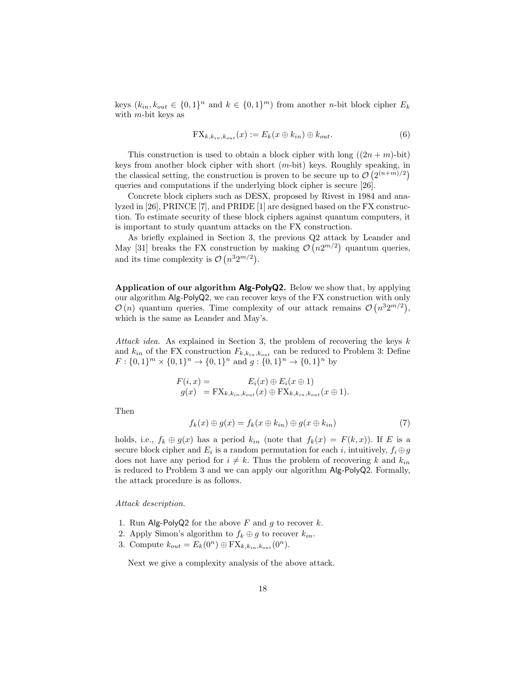keys  $(k_{in}, k_{out} \in \{0, 1\}^n$  and  $k \in \{0, 1\}^m$ ) from another *n*-bit block cipher  $E_k$ with  $m$ -bit keys as

$$
FX_{k,k_{in},k_{out}}(x) := E_k(x \oplus k_{in}) \oplus k_{out}.
$$
 (6)

This construction is used to obtain a block cipher with long  $((2n + m)$ -bit) keys from another block cipher with short  $(m\text{-bit})$  keys. Roughly speaking, in the classical setting, the construction is proven to be secure up to  $\mathcal{O}(2^{(n+m)/2})$ queries and computations if the underlying block cipher is secure [26].

Concrete block ciphers such as DESX, proposed by Rivest in 1984 and analyzed in [26], PRINCE [7], and PRIDE [1] are designed based on the FX construction. To estimate security of these block ciphers against quantum computers, it is important to study quantum attacks on the FX construction.

As briefly explained in Section 3, the previous Q2 attack by Leander and May [31] breaks the FX construction by making  $\mathcal{O}(n2^{m/2})$  quantum queries, and its time complexity is  $\mathcal{O}(n^3 2^{m/2})$ .

Application of our algorithm  $Alg-PolyQ2$ . Below we show that, by applying our algorithm Alg-PolyQ2, we can recover keys of the FX construction with only  $\mathcal{O}(n)$  quantum queries. Time complexity of our attack remains  $\mathcal{O}(n^3 2^{m/2}),$ which is the same as Leander and May's.

Attack idea. As explained in Section 3, the problem of recovering the keys  $k$ and  $k_{in}$  of the FX construction  $F_{k,k_{in},k_{out}}$  can be reduced to Problem 3: Define  $F: \{0,1\}^m \times \{0,1\}^n \rightarrow \{0,1\}^n$  and  $g: \{0,1\}^n \rightarrow \{0,1\}^n$  by

$$
F(i, x) = E_i(x) \oplus E_i(x \oplus 1)
$$
  

$$
g(x) = \text{FX}_{k, k_{in}, k_{out}}(x) \oplus \text{FX}_{k, k_{in}, k_{out}}(x \oplus 1).
$$

Then

$$
f_k(x) \oplus g(x) = f_k(x \oplus k_{in}) \oplus g(x \oplus k_{in})
$$
\n(7)

holds, i.e.,  $f_k \oplus g(x)$  has a period  $k_{in}$  (note that  $f_k(x) = F(k, x)$ ). If E is a secure block cipher and  $E_i$  is a random permutation for each i, intuitively,  $f_i \oplus g$ does not have any period for  $i \neq k$ . Thus the problem of recovering k and  $k_{in}$ is reduced to Problem 3 and we can apply our algorithm Alg-PolyQ2. Formally, the attack procedure is as follows.

Attack description.

- 1. Run Alg-PolyQ2 for the above  $F$  and  $q$  to recover  $k$ .
- 2. Apply Simon's algorithm to  $f_k \oplus g$  to recover  $k_{in}$ .
- 3. Compute  $k_{out} = E_k(0^n) \oplus \text{FX}_{k,k_{in},k_{out}}(0^n)$ .

Next we give a complexity analysis of the above attack.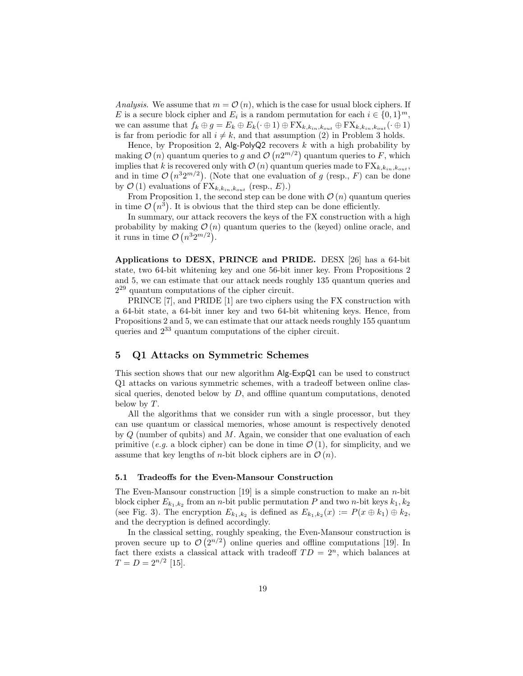Analysis. We assume that  $m = \mathcal{O}(n)$ , which is the case for usual block ciphers. If E is a secure block cipher and  $E_i$  is a random permutation for each  $i \in \{0,1\}^m$ , we can assume that  $f_k \oplus g = E_k \oplus E_k(\cdot \oplus 1) \oplus \text{FX}_{k,k_{in},k_{out}} \oplus \text{FX}_{k,k_{in},k_{out}}(\cdot \oplus 1)$ is far from periodic for all  $i \neq k$ , and that assumption (2) in Problem 3 holds.

Hence, by Proposition 2,  $\mathsf{Alg}\text{-}\mathsf{PolyQ2}$  recovers k with a high probability by making  $\mathcal{O}(n)$  quantum queries to g and  $\mathcal{O}(n2^{m/2})$  quantum queries to F, which implies that k is recovered only with  $\mathcal{O}(n)$  quantum queries made to  $\text{FX}_{k,k,n,k_{out}},$ and in time  $\mathcal{O}(n^3 2^{m/2})$ . (Note that one evaluation of g (resp., F) can be done by  $\mathcal{O}(1)$  evaluations of  $\text{FX}_{k,k_{in},k_{out}}$  (resp., E).)

From Proposition 1, the second step can be done with  $\mathcal{O}(n)$  quantum queries in time  $\mathcal{O}(n^3)$ . It is obvious that the third step can be done efficiently.

In summary, our attack recovers the keys of the FX construction with a high probability by making  $\mathcal{O}(n)$  quantum queries to the (keyed) online oracle, and it runs in time  $\mathcal{O}(n^3 2^{m/2})$ .

Applications to DESX, PRINCE and PRIDE. DESX [26] has a 64-bit state, two 64-bit whitening key and one 56-bit inner key. From Propositions 2 and 5, we can estimate that our attack needs roughly 135 quantum queries and 2 <sup>29</sup> quantum computations of the cipher circuit.

PRINCE [7], and PRIDE [1] are two ciphers using the FX construction with a 64-bit state, a 64-bit inner key and two 64-bit whitening keys. Hence, from Propositions 2 and 5, we can estimate that our attack needs roughly 155 quantum queries and 2<sup>33</sup> quantum computations of the cipher circuit.

### 5 Q1 Attacks on Symmetric Schemes

This section shows that our new algorithm Alg-ExpQ1 can be used to construct Q1 attacks on various symmetric schemes, with a tradeoff between online classical queries, denoted below by  $D$ , and offline quantum computations, denoted below by T.

All the algorithms that we consider run with a single processor, but they can use quantum or classical memories, whose amount is respectively denoted by  $Q$  (number of qubits) and  $M$ . Again, we consider that one evaluation of each primitive (e.g. a block cipher) can be done in time  $\mathcal{O}(1)$ , for simplicity, and we assume that key lengths of *n*-bit block ciphers are in  $\mathcal{O}(n)$ .

#### 5.1 Tradeoffs for the Even-Mansour Construction

The Even-Mansour construction [19] is a simple construction to make an  $n$ -bit block cipher  $E_{k_1,k_2}$  from an *n*-bit public permutation P and two *n*-bit keys  $k_1, k_2$ (see Fig. 3). The encryption  $E_{k_1,k_2}$  is defined as  $E_{k_1,k_2}(x) := P(x \oplus k_1) \oplus k_2$ , and the decryption is defined accordingly.

In the classical setting, roughly speaking, the Even-Mansour construction is proven secure up to  $\mathcal{O}(2^{n/2})$  online queries and offline computations [19]. In fact there exists a classical attack with tradeoff  $TD = 2<sup>n</sup>$ , which balances at  $T = D = 2^{n/2}$  [15].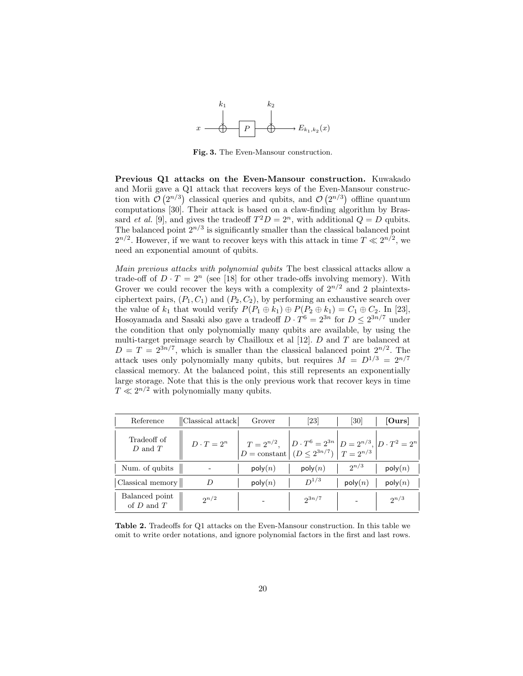

Fig. 3. The Even-Mansour construction.

Previous Q1 attacks on the Even-Mansour construction. Kuwakado and Morii gave a Q1 attack that recovers keys of the Even-Mansour construction with  $\mathcal{O}(2^{n/3})$  classical queries and qubits, and  $\mathcal{O}(2^{n/3})$  offline quantum computations [30]. Their attack is based on a claw-finding algorithm by Brassard *et al.* [9], and gives the tradeoff  $T^2D = 2^n$ , with additional  $Q = D$  qubits. The balanced point  $2^{n/3}$  is significantly smaller than the classical balanced point  $2^{n/2}$ . However, if we want to recover keys with this attack in time  $T \ll 2^{n/2}$ , we need an exponential amount of qubits.

Main previous attacks with polynomial qubits The best classical attacks allow a trade-off of  $D \cdot T = 2^n$  (see [18] for other trade-offs involving memory). With Grover we could recover the keys with a complexity of  $2^{n/2}$  and 2 plaintextsciphertext pairs,  $(P_1, C_1)$  and  $(P_2, C_2)$ , by performing an exhaustive search over the value of  $k_1$  that would verify  $P(P_1 \oplus k_1) \oplus P(P_2 \oplus k_1) = C_1 \oplus C_2$ . In [23], Hosoyamada and Sasaki also gave a tradeoff  $D \cdot T^6 = 2^{3n}$  for  $D \leq 2^{3n/7}$  under the condition that only polynomially many qubits are available, by using the multi-target preimage search by Chailloux et al [12]. D and T are balanced at  $D = T = 2^{3n/7}$ , which is smaller than the classical balanced point  $2^{n/2}$ . The attack uses only polynomially many qubits, but requires  $M = D^{1/3} = 2^{n/7}$ classical memory. At the balanced point, this still represents an exponentially large storage. Note that this is the only previous work that recover keys in time  $T \ll 2^{n/2}$  with polynomially many qubits.

| Reference                        | Classical attack  | Grover             | $\left[ 23\right]$                                                                                                                                      | [30]      | [Ours]    |
|----------------------------------|-------------------|--------------------|---------------------------------------------------------------------------------------------------------------------------------------------------------|-----------|-----------|
| Tradeoff of<br>$D$ and $T$       | $D \cdot T = 2^n$ |                    | $T = 2^{n/2},$<br>$D = \text{constant} \begin{vmatrix} D \cdot T^6 = 2^{3n} \\ (D \le 2^{3n/7}) \end{vmatrix}$<br>$T = 2^{n/3},$<br>$D \cdot T^2 = 2^n$ |           |           |
| Num. of qubits                   |                   | $\mathsf{poly}(n)$ | $\mathsf{poly}(n)$                                                                                                                                      | $2^{n/3}$ | poly(n)   |
| Classical memory                 |                   | poly(n)            | $D^{1/3}$                                                                                                                                               | poly(n)   | poly(n)   |
| Balanced point<br>of $D$ and $T$ | $2^{n/2}$         |                    | $2^{3n/7}$                                                                                                                                              |           | $2^{n/3}$ |

Table 2. Tradeoffs for Q1 attacks on the Even-Mansour construction. In this table we omit to write order notations, and ignore polynomial factors in the first and last rows.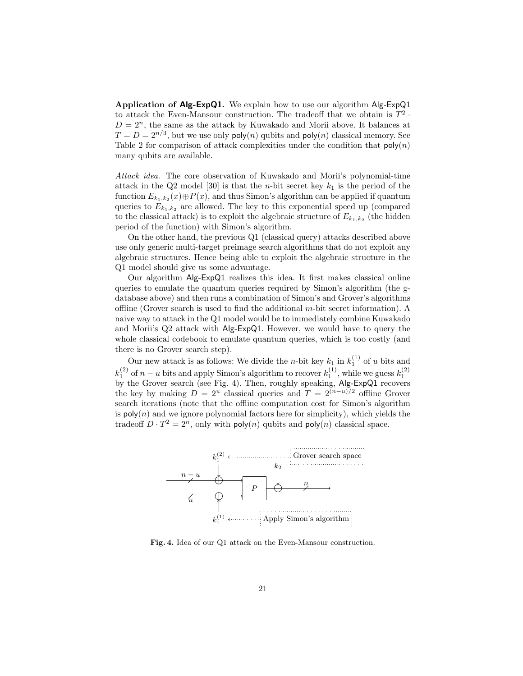Application of Alg-ExpQ1. We explain how to use our algorithm Alg-ExpQ1 to attack the Even-Mansour construction. The tradeoff that we obtain is  $T^2$ .  $D = 2<sup>n</sup>$ , the same as the attack by Kuwakado and Morii above. It balances at  $T = D = 2^{n/3}$ , but we use only poly $(n)$  qubits and poly $(n)$  classical memory. See Table 2 for comparison of attack complexities under the condition that  $poly(n)$ many qubits are available.

Attack idea. The core observation of Kuwakado and Morii's polynomial-time attack in the Q2 model [30] is that the *n*-bit secret key  $k_1$  is the period of the function  $E_{k_1,k_2}(x) \oplus P(x)$ , and thus Simon's algorithm can be applied if quantum queries to  $E_{k_1,k_2}$  are allowed. The key to this exponential speed up (compared to the classical attack) is to exploit the algebraic structure of  $E_{k_1,k_2}$  (the hidden period of the function) with Simon's algorithm.

On the other hand, the previous Q1 (classical query) attacks described above use only generic multi-target preimage search algorithms that do not exploit any algebraic structures. Hence being able to exploit the algebraic structure in the Q1 model should give us some advantage.

Our algorithm Alg-ExpQ1 realizes this idea. It first makes classical online queries to emulate the quantum queries required by Simon's algorithm (the gdatabase above) and then runs a combination of Simon's and Grover's algorithms offline (Grover search is used to find the additional m-bit secret information). A naive way to attack in the Q1 model would be to immediately combine Kuwakado and Morii's Q2 attack with Alg-ExpQ1. However, we would have to query the whole classical codebook to emulate quantum queries, which is too costly (and there is no Grover search step).

Our new attack is as follows: We divide the *n*-bit key  $k_1$  in  $k_1^{(1)}$  of *u* bits and 1  $k_1^{(2)}$  of  $n - u$  bits and apply Simon's algorithm to recover  $k_1^{(1)}$ , while we guess  $k_1^{(2)}$  by the Grover search (see Fig. 4). Then, roughly speaking, Alg-ExpQ1 recovers the key by making  $D = 2^u$  classical queries and  $T = 2^{(n-u)/2}$  offline Grover search iterations (note that the offline computation cost for Simon's algorithm is  $\mathsf{poly}(n)$  and we ignore polynomial factors here for simplicity), which yields the tradeoff  $D \cdot T^2 = 2^n$ , only with poly $(n)$  qubits and poly $(n)$  classical space.



Fig. 4. Idea of our Q1 attack on the Even-Mansour construction.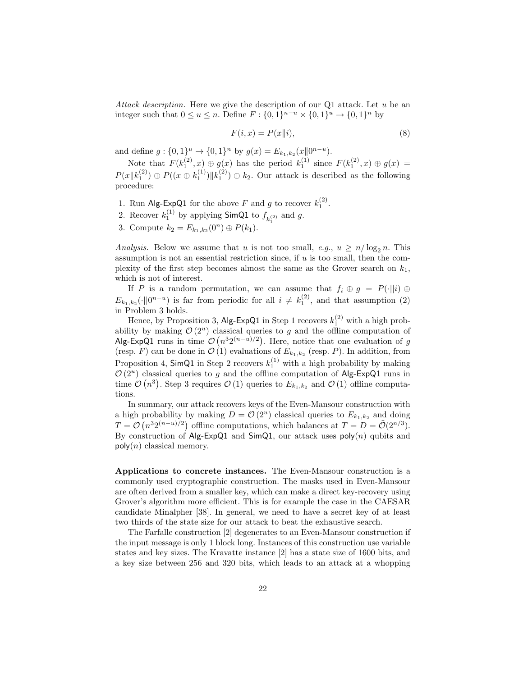Attack description. Here we give the description of our Q1 attack. Let u be an integer such that  $0 \le u \le n$ . Define  $F: \{0,1\}^{n-u} \times \{0,1\}^u \rightarrow \{0,1\}^n$  by

$$
F(i,x) = P(x||i),\tag{8}
$$

and define  $g: \{0,1\}^u \to \{0,1\}^n$  by  $g(x) = E_{k_1,k_2}(x||0^{n-u}).$ 

Note that  $F(k_1^{(2)},x) \oplus g(x)$  has the period  $k_1^{(1)}$  since  $F(k_1^{(2)},x) \oplus g(x) =$  $P(x||k_1^{(2)}) \oplus P((x \oplus k_1^{(1)})||k_1^{(2)}) \oplus k_2$ . Our attack is described as the following procedure:

- 1. Run Alg-ExpQ1 for the above F and g to recover  $k_1^{(2)}$ .
- 2. Recover  $k_1^{(1)}$  by applying SimQ1 to  $f_{k_1^{(2)}}$  and g.
- 3. Compute  $k_2 = E_{k_1,k_2}(0^n) \oplus P(k_1)$ .

Analysis. Below we assume that u is not too small, e.g.,  $u \ge n/\log_2 n$ . This assumption is not an essential restriction since, if  $u$  is too small, then the complexity of the first step becomes almost the same as the Grover search on  $k_1$ , which is not of interest.

If P is a random permutation, we can assume that  $f_i \oplus g = P(\cdot || i) \oplus$  $E_{k_1,k_2}(\cdot||0^{n-u})$  is far from periodic for all  $i \neq k_1^{(2)}$ , and that assumption (2) in Problem 3 holds.

Hence, by Proposition 3,  $\mathsf{Alg}\text{-}\mathsf{Exp}\mathsf{Q1}$  in Step 1 recovers  $k_1^{(2)}$  with a high probability by making  $\mathcal{O}(2^u)$  classical queries to g and the offline computation of Alg-ExpQ1 runs in time  $\mathcal{O}(n^3 2^{(n-u)/2})$ . Here, notice that one evaluation of g (resp. F) can be done in  $\mathcal{O}(1)$  evaluations of  $E_{k_1,k_2}$  (resp. P). In addition, from Proposition 4,  $\textsf{SimQ1}$  in Step 2 recovers  $k_1^{(1)}$  with a high probability by making  $\mathcal{O}(2^u)$  classical queries to g and the offline computation of Alg-ExpQ1 runs in time  $\mathcal{O}(n^3)$ . Step 3 requires  $\mathcal{O}(1)$  queries to  $E_{k_1,k_2}$  and  $\mathcal{O}(1)$  offline computations.

In summary, our attack recovers keys of the Even-Mansour construction with a high probability by making  $D = \mathcal{O}(2^u)$  classical queries to  $E_{k_1,k_2}$  and doing  $T = \mathcal{O}(n^3 2^{(n-u)/2})$  offline computations, which balances at  $T = D = \tilde{\mathcal{O}}(2^{n/3})$ . By construction of Alg-ExpQ1 and SimQ1, our attack uses  $poly(n)$  qubits and  $poly(n)$  classical memory.

Applications to concrete instances. The Even-Mansour construction is a commonly used cryptographic construction. The masks used in Even-Mansour are often derived from a smaller key, which can make a direct key-recovery using Grover's algorithm more efficient. This is for example the case in the CAESAR candidate Minalpher [38]. In general, we need to have a secret key of at least two thirds of the state size for our attack to beat the exhaustive search.

The Farfalle construction [2] degenerates to an Even-Mansour construction if the input message is only 1 block long. Instances of this construction use variable states and key sizes. The Kravatte instance [2] has a state size of 1600 bits, and a key size between 256 and 320 bits, which leads to an attack at a whopping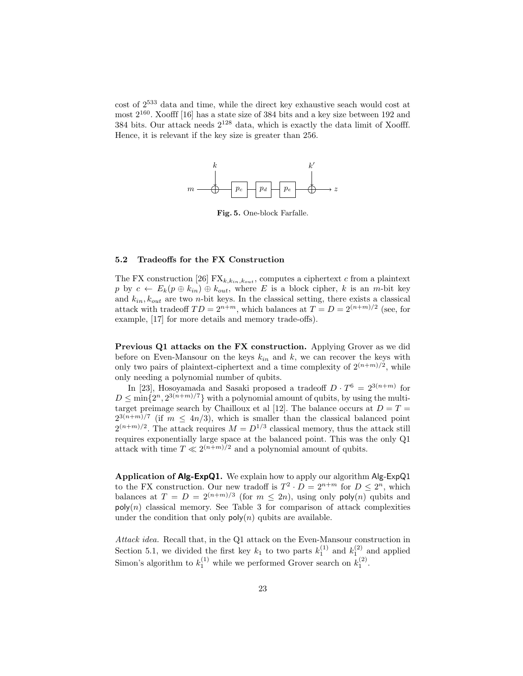cost of 2<sup>533</sup> data and time, while the direct key exhaustive seach would cost at most 2160. Xoofff [16] has a state size of 384 bits and a key size between 192 and 384 bits. Our attack needs  $2^{128}$  data, which is exactly the data limit of Xoofff. Hence, it is relevant if the key size is greater than 256.



Fig. 5. One-block Farfalle.

#### 5.2 Tradeoffs for the FX Construction

The FX construction [26]  $\text{FX}_{k, k_{in}, k_{out}}$ , computes a ciphertext c from a plaintext p by  $c \leftarrow E_k(p \oplus k_{in}) \oplus k_{out}$ , where E is a block cipher, k is an m-bit key and  $k_{in}$ ,  $k_{out}$  are two *n*-bit keys. In the classical setting, there exists a classical attack with tradeoff  $TD = 2^{n+m}$ , which balances at  $T = D = 2^{(n+m)/2}$  (see, for example, [17] for more details and memory trade-offs).

Previous Q1 attacks on the FX construction. Applying Grover as we did before on Even-Mansour on the keys  $k_{in}$  and k, we can recover the keys with only two pairs of plaintext-ciphertext and a time complexity of  $2^{(n+m)/2}$ , while only needing a polynomial number of qubits.

In [23], Hosoyamada and Sasaki proposed a tradeoff  $D \cdot T^6 = 2^{3(n+m)}$  for  $D \leq \min\{2^n, 2^{3(n+m)/7}\}\$  with a polynomial amount of qubits, by using the multitarget preimage search by Chailloux et al [12]. The balance occurs at  $D = T =$  $2^{3(n+m)/7}$  (if  $m \leq 4n/3$ ), which is smaller than the classical balanced point  $2^{(n+m)/2}$ . The attack requires  $M = D^{1/3}$  classical memory, thus the attack still requires exponentially large space at the balanced point. This was the only Q1 attack with time  $T \ll 2^{(n+m)/2}$  and a polynomial amount of qubits.

Application of Alg-ExpQ1. We explain how to apply our algorithm Alg-ExpQ1 to the FX construction. Our new tradoff is  $T^2 \cdot D = 2^{n+m}$  for  $D \leq 2^n$ , which balances at  $T = D = 2^{(n+m)/3}$  (for  $m \leq 2n$ ), using only poly $(n)$  qubits and  $poly(n)$  classical memory. See Table 3 for comparison of attack complexities under the condition that only  $poly(n)$  qubits are available.

Attack idea. Recall that, in the Q1 attack on the Even-Mansour construction in Section 5.1, we divided the first key  $k_1$  to two parts  $k_1^{(1)}$  and  $k_1^{(2)}$  and applied Simon's algorithm to  $k_1^{(1)}$  while we performed Grover search on  $k_1^{(2)}$ .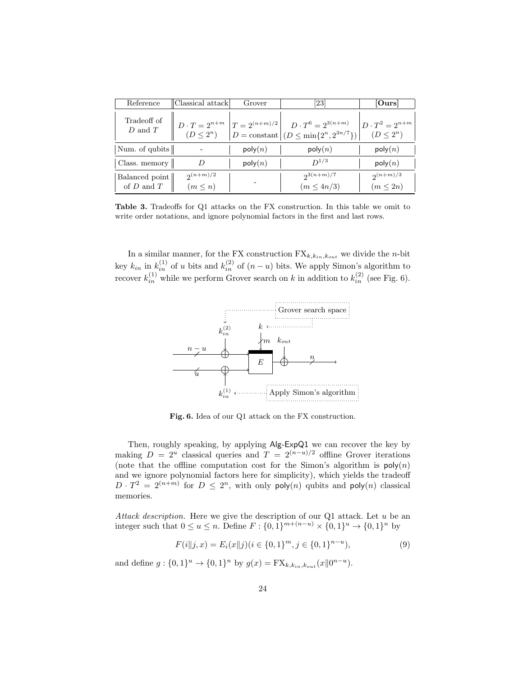| Reference                        | Classical attack                        | Grover             | [23]                                                                                            | Ours                                      |
|----------------------------------|-----------------------------------------|--------------------|-------------------------------------------------------------------------------------------------|-------------------------------------------|
| Tradeoff of<br>$D$ and $T$       | $D \cdot T = 2^{n+m}$<br>$(D \leq 2^n)$ | $T = 2^{(n+m)/2}$  | $D \cdot T^6 = 2^{3(n+m)}$<br>$D = \text{constant} \left( D \leq \min\{2^n, 2^{3n/7}\} \right)$ | $D \cdot T^2 = 2^{n+m}$<br>$(D \leq 2^n)$ |
| Num. of qubits $\parallel$       |                                         | $\mathsf{poly}(n)$ | $\mathsf{poly}(n)$                                                                              | $\mathsf{poly}(n)$                        |
| Class. memory $\parallel$        |                                         | poly(n)            | $D^{1/3}$                                                                                       | poly(n)                                   |
| Balanced point<br>of $D$ and $T$ | $2(n+m)/2$<br>$(m \leq n)$              |                    | $2^{3(n+m)/7}$<br>$(m \leq 4n/3)$                                                               | $2(n+m)/3$<br>$(m \leq 2n)$               |

Table 3. Tradeoffs for Q1 attacks on the FX construction. In this table we omit to write order notations, and ignore polynomial factors in the first and last rows.

In a similar manner, for the FX construction  $\text{FX}_{k,k_{in},k_{out}}$  we divide the *n*-bit key  $k_{in}$  in  $k_{in}^{(1)}$  of u bits and  $k_{in}^{(2)}$  of  $(n - u)$  bits. We apply Simon's algorithm to recover  $k_{in}^{(1)}$  while we perform Grover search on k in addition to  $k_{in}^{(2)}$  (see Fig. 6).



Fig. 6. Idea of our Q1 attack on the FX construction.

Then, roughly speaking, by applying Alg-ExpQ1 we can recover the key by making  $D = 2^u$  classical queries and  $T = 2^{(n-u)/2}$  offline Grover iterations (note that the offline computation cost for the Simon's algorithm is  $poly(n)$ ) and we ignore polynomial factors here for simplicity), which yields the tradeoff  $D \cdot T^2 = 2^{(n+m)}$  for  $D \leq 2^n$ , with only poly $(n)$  qubits and poly $(n)$  classical memories.

Attack description. Here we give the description of our Q1 attack. Let u be an integer such that  $0 \le u \le n$ . Define  $F: \{0,1\}^{m+(n-u)} \times \{0,1\}^u \rightarrow \{0,1\}^n$  by

$$
F(i||j, x) = E_i(x||j)(i \in \{0, 1\}^m, j \in \{0, 1\}^{n-u}),
$$
\n(9)

and define  $g: \{0,1\}^u \to \{0,1\}^n$  by  $g(x) = \text{FX}_{k,k_{in},k_{out}}(x||0^{n-u}).$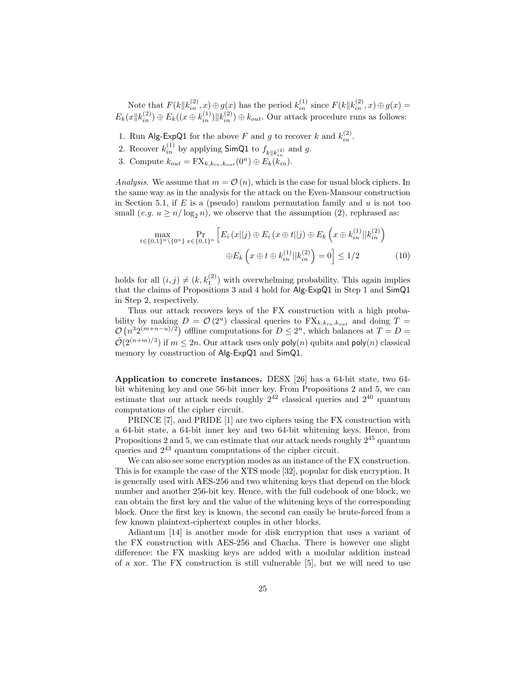Note that  $F(k||k_{in}^{(2)}, x) \oplus g(x)$  has the period  $k_{in}^{(1)}$  since  $F(k||k_{in}^{(2)}, x) \oplus g(x) =$  $E_k(x||k_{in}^{(2)}) \oplus E_k((x \oplus k_{in}^{(1)})||k_{in}^{(2)}) \oplus k_{out}$ . Our attack procedure runs as follows:

- 1. Run Alg-ExpQ1 for the above F and g to recover k and  $k_{in}^{(2)}$ .
- 2. Recover  $k_{in}^{(1)}$  by applying  $\textsf{SimQ1}$  to  $f_{k \parallel k_{in}^{(2)}}$  and g.
- 3. Compute  $k_{out} = \text{FX}_{k,k_{in},k_{out}}(0^n) \oplus E_k(k_{in}).$

Analysis. We assume that  $m = \mathcal{O}(n)$ , which is the case for usual block ciphers. In the same way as in the analysis for the attack on the Even-Mansour construction in Section 5.1, if  $E$  is a (pseudo) random permutation family and  $u$  is not too small  $(e.g. u \ge n/\log_2 n)$ , we observe that the assumption (2), rephrased as:

$$
\max_{t \in \{0,1\}^n \setminus \{0^n\}} \Pr_{x \in \{0,1\}^n} \left[ E_i(x||j) \oplus E_i(x \oplus t||j) \oplus E_k\left(x \oplus k_{in}^{(1)}||k_{in}^{(2)}\right) \right]
$$

$$
\oplus E_k\left(x \oplus t \oplus k_{in}^{(1)}||k_{in}^{(2)}\right) = 0 \right] \le 1/2 \tag{10}
$$

holds for all  $(i, j) \neq (k, k_1^{(2)})$  with overwhelming probability. This again implies that the claims of Propositions 3 and 4 hold for Alg-ExpQ1 in Step 1 and SimQ1 in Step 2, respectively.

Thus our attack recovers keys of the FX construction with a high probability by making  $D = \mathcal{O}(2^u)$  classical queries to  $FX_{k,k_{in},k_{out}}$  and doing  $T =$  $\mathcal{O}(n^3 2^{(m+n-u)/2})$  offline computations for  $D \leq 2^n$ , which balances at  $T = D =$  $\tilde{O}(2^{(n+m)/3})$  if  $m \leq 2n$ . Our attack uses only poly $(n)$  qubits and poly $(n)$  classical memory by construction of Alg-ExpQ1 and SimQ1.

Application to concrete instances. DESX [26] has a 64-bit state, two 64 bit whitening key and one 56-bit inner key. From Propositions 2 and 5, we can estimate that our attack needs roughly  $2^{42}$  classical queries and  $2^{40}$  quantum computations of the cipher circuit.

PRINCE [7], and PRIDE [1] are two ciphers using the FX construction with a 64-bit state, a 64-bit inner key and two 64-bit whitening keys. Hence, from Propositions 2 and 5, we can estimate that our attack needs roughly  $2^{45}$  quantum queries and 2<sup>43</sup> quantum computations of the cipher circuit.

We can also see some encryption modes as an instance of the FX construction. This is for example the case of the XTS mode [32], popular for disk encryption. It is generally used with AES-256 and two whitening keys that depend on the block number and another 256-bit key. Hence, with the full codebook of one block, we can obtain the first key and the value of the whitening keys of the corresponding block. Once the first key is known, the second can easily be brute-forced from a few known plaintext-ciphertext couples in other blocks.

Adiantum [14] is another mode for disk encryption that uses a variant of the FX construction with AES-256 and Chacha. There is however one slight difference: the FX masking keys are added with a modular addition instead of a xor. The FX construction is still vulnerable [5], but we will need to use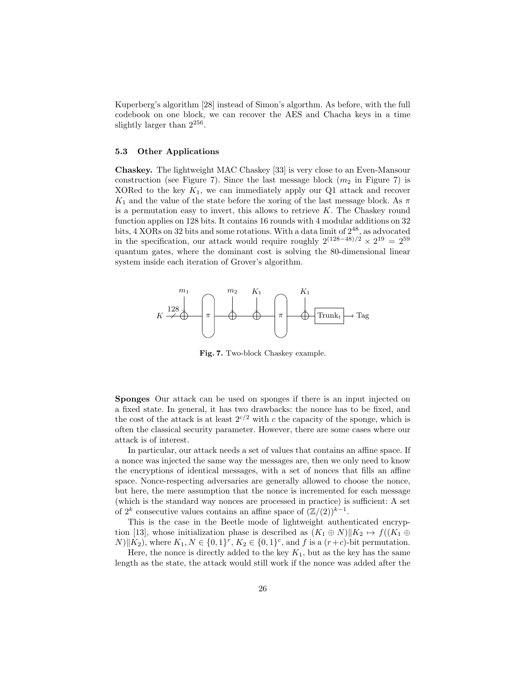Kuperberg's algorithm [28] instead of Simon's algorthm. As before, with the full codebook on one block, we can recover the AES and Chacha keys in a time slightly larger than  $2^{256}$ .

#### 5.3 Other Applications

Chaskey. The lightweight MAC Chaskey [33] is very close to an Even-Mansour construction (see Figure 7). Since the last message block  $(m_2 \text{ in Figure 7})$  is XORed to the key  $K_1$ , we can immediately apply our Q1 attack and recover  $K_1$  and the value of the state before the xoring of the last message block. As  $\pi$ is a permutation easy to invert, this allows to retrieve  $K$ . The Chaskey round function applies on 128 bits. It contains 16 rounds with 4 modular additions on 32 bits,  $4 \text{ XORs}$  on 32 bits and some rotations. With a data limit of  $2^{48}$ , as advocated in the specification, our attack would require roughly  $2^{(128-48)/2} \times 2^{19} = 2^{59}$ quantum gates, where the dominant cost is solving the 80-dimensional linear system inside each iteration of Grover's algorithm.



Fig. 7. Two-block Chaskey example.

Sponges Our attack can be used on sponges if there is an input injected on a fixed state. In general, it has two drawbacks: the nonce has to be fixed, and the cost of the attack is at least  $2^{c/2}$  with c the capacity of the sponge, which is often the classical security parameter. However, there are some cases where our attack is of interest.

In particular, our attack needs a set of values that contains an affine space. If a nonce was injected the same way the messages are, then we only need to know the encryptions of identical messages, with a set of nonces that fills an affine space. Nonce-respecting adversaries are generally allowed to choose the nonce, but here, the mere assumption that the nonce is incremented for each message (which is the standard way nonces are processed in practice) is sufficient: A set of  $2^k$  consecutive values contains an affine space of  $(\mathbb{Z}/(2))^{k-1}$ .

This is the case in the Beetle mode of lightweight authenticated encryption [13], whose initialization phase is described as  $(K_1 \oplus N)$ | $K_2 \mapsto f((K_1 \oplus$  $(N||K_2)$ , where  $K_1, N \in \{0,1\}^r$ ,  $K_2 \in \{0,1\}^c$ , and f is a  $(r+c)$ -bit permutation.

Here, the nonce is directly added to the key  $K_1$ , but as the key has the same length as the state, the attack would still work if the nonce was added after the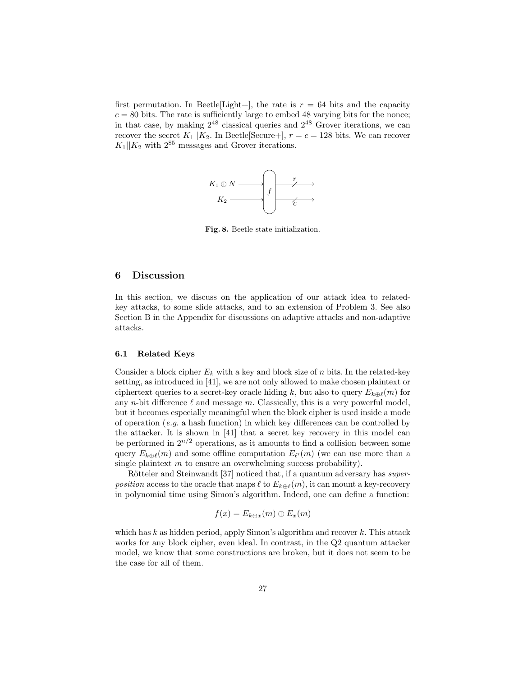first permutation. In Beetle [Light+], the rate is  $r = 64$  bits and the capacity  $c = 80$  bits. The rate is sufficiently large to embed 48 varying bits for the nonce; in that case, by making  $2^{48}$  classical queries and  $2^{48}$  Grover iterations, we can recover the secret  $K_1||K_2$ . In Beetle Secure+,  $r = c = 128$  bits. We can recover  $K_1||K_2$  with  $2^{85}$  messages and Grover iterations.



Fig. 8. Beetle state initialization.

### 6 Discussion

In this section, we discuss on the application of our attack idea to relatedkey attacks, to some slide attacks, and to an extension of Problem 3. See also Section B in the Appendix for discussions on adaptive attacks and non-adaptive attacks.

#### 6.1 Related Keys

Consider a block cipher  $E_k$  with a key and block size of n bits. In the related-key setting, as introduced in [41], we are not only allowed to make chosen plaintext or ciphertext queries to a secret-key oracle hiding k, but also to query  $E_{k \oplus \ell}(m)$  for any *n*-bit difference  $\ell$  and message m. Classically, this is a very powerful model, but it becomes especially meaningful when the block cipher is used inside a mode of operation (e.g. a hash function) in which key differences can be controlled by the attacker. It is shown in [41] that a secret key recovery in this model can be performed in  $2^{n/2}$  operations, as it amounts to find a collision between some query  $E_{k \oplus \ell}(m)$  and some offline computation  $E_{\ell'}(m)$  (we can use more than a single plaintext  $m$  to ensure an overwhelming success probability).

Rötteler and Steinwandt [37] noticed that, if a quantum adversary has superposition access to the oracle that maps  $\ell$  to  $E_{k\oplus\ell}(m)$ , it can mount a key-recovery in polynomial time using Simon's algorithm. Indeed, one can define a function:

$$
f(x) = E_{k \oplus x}(m) \oplus E_x(m)
$$

which has  $k$  as hidden period, apply Simon's algorithm and recover  $k$ . This attack works for any block cipher, even ideal. In contrast, in the Q2 quantum attacker model, we know that some constructions are broken, but it does not seem to be the case for all of them.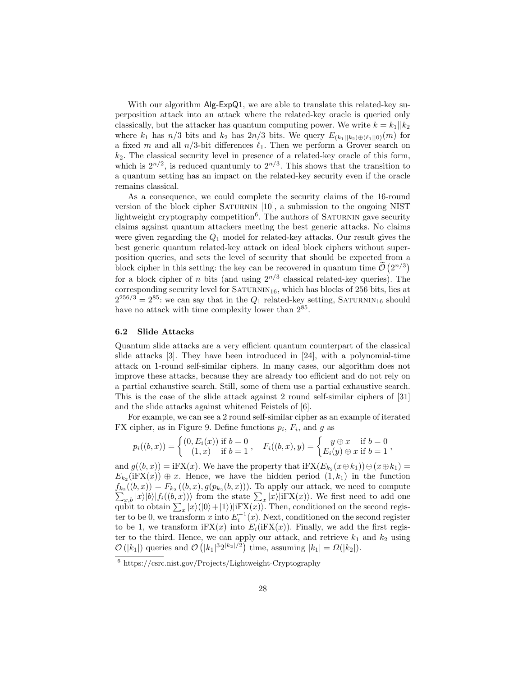With our algorithm Alg-ExpQ1, we are able to translate this related-key superposition attack into an attack where the related-key oracle is queried only classically, but the attacker has quantum computing power. We write  $k = k_1||k_2$ where  $k_1$  has  $n/3$  bits and  $k_2$  has  $2n/3$  bits. We query  $E_{(k_1||k_2)\oplus(\ell_1||0)}(m)$  for a fixed m and all  $n/3$ -bit differences  $\ell_1$ . Then we perform a Grover search on  $k<sub>2</sub>$ . The classical security level in presence of a related-key oracle of this form, which is  $2^{n/2}$ , is reduced quantumly to  $2^{n/3}$ . This shows that the transition to a quantum setting has an impact on the related-key security even if the oracle remains classical.

As a consequence, we could complete the security claims of the 16-round version of the block cipher SATURNIN [10], a submission to the ongoing NIST lightweight cryptography competition<sup>6</sup>. The authors of SATURNIN gave security claims against quantum attackers meeting the best generic attacks. No claims were given regarding the  $Q_1$  model for related-key attacks. Our result gives the best generic quantum related-key attack on ideal block ciphers without superposition queries, and sets the level of security that should be expected from a block cipher in this setting: the key can be recovered in quantum time  $\tilde{\mathcal{O}}(2^{n/3})$ for a block cipher of n bits (and using  $2^{n/3}$  classical related-key queries). The corresponding security level for  $SATURNIN_{16}$ , which has blocks of 256 bits, lies at  $2^{256/3} = 2^{85}$ : we can say that in the  $Q_1$  related-key setting, SATURNIN<sub>16</sub> should have no attack with time complexity lower than  $2^{85}$ .

### 6.2 Slide Attacks

Quantum slide attacks are a very efficient quantum counterpart of the classical slide attacks [3]. They have been introduced in [24], with a polynomial-time attack on 1-round self-similar ciphers. In many cases, our algorithm does not improve these attacks, because they are already too efficient and do not rely on a partial exhaustive search. Still, some of them use a partial exhaustive search. This is the case of the slide attack against 2 round self-similar ciphers of [31] and the slide attacks against whitened Feistels of [6].

For example, we can see a 2 round self-similar cipher as an example of iterated FX cipher, as in Figure 9. Define functions  $p_i$ ,  $F_i$ , and g as

$$
p_i((b,x)) = \begin{cases} (0, E_i(x)) \text{ if } b = 0 \\ (1,x) \text{ if } b = 1 \end{cases}, \quad F_i((b,x),y) = \begin{cases} y \oplus x & \text{if } b = 0 \\ E_i(y) \oplus x & \text{if } b = 1 \end{cases},
$$

and  $g((b, x)) = iFX(x)$ . We have the property that  $iFX(E_{k_2}(x \oplus k_1)) \oplus (x \oplus k_1) =$  $E_{k_2}(\text{iFX}(x)) \oplus x$ . Hence, we have the hidden period  $(1, k_1)$  in the function  $f_{k_2}((b,x)) = F_{k_2}((b,x), g(p_{k_2}(b,x)))$ . To apply our attack, we need to compute  $\sum_{x,b}|x\rangle|b\rangle|f_i((b,x))\rangle$  from the state  $\sum_x|x\rangle|\text{iFX}(x)\rangle$ . We first need to add one qubit to obtain  $\sum_{x} |x\rangle (|0\rangle + |1\rangle)|$  if  $X(x)$ . Then, conditioned on the second register to be 0, we transform x into  $E_i^{-1}(x)$ . Next, conditioned on the second register to be 1, we transform  $iFX(x)$  into  $E_i(iFX(x))$ . Finally, we add the first register to the third. Hence, we can apply our attack, and retrieve  $k_1$  and  $k_2$  using  $\mathcal{O}(|k_1|)$  queries and  $\mathcal{O}(|k_1|^3 2^{|k_2|/2})$  time, assuming  $|k_1| = \Omega(|k_2|)$ .

 $6 \text{ https://csrc.nist.gov/Projects/Lightweight-Cryptography}$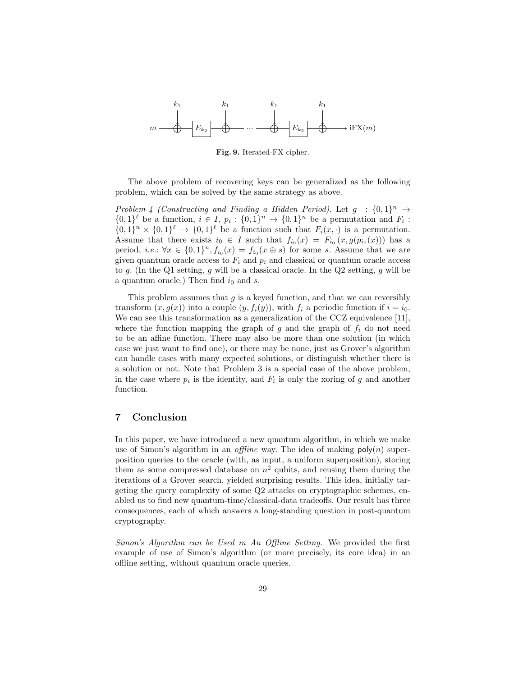

Fig. 9. Iterated-FX cipher.

The above problem of recovering keys can be generalized as the following problem, which can be solved by the same strategy as above.

Problem 4 (Constructing and Finding a Hidden Period). Let  $g : \{0,1\}^n \rightarrow$  $\{0,1\}^{\ell}$  be a function,  $i \in I$ ,  $p_i : \{0,1\}^n \to \{0,1\}^n$  be a permutation and  $F_i$ :  $\{0,1\}^n \times \{0,1\}^{\ell} \to \{0,1\}^{\ell}$  be a function such that  $F_i(x, \cdot)$  is a permutation. Assume that there exists  $i_0 \in I$  such that  $f_{i_0}(x) = F_{i_0}(x, g(p_{i_0}(x)))$  has a period, *i.e.*:  $\forall x \in \{0,1\}^n, f_{i_0}(x) = f_{i_0}(x \oplus s)$  for some *s*. Assume that we are given quantum oracle access to  $F_i$  and  $p_i$  and classical or quantum oracle access to g. (In the Q1 setting, g will be a classical oracle. In the Q2 setting, g will be a quantum oracle.) Then find  $i_0$  and s.

This problem assumes that  $g$  is a keyed function, and that we can reversibly transform  $(x, g(x))$  into a couple  $(y, f_i(y))$ , with  $f_i$  a periodic function if  $i = i_0$ . We can see this transformation as a generalization of the CCZ equivalence [11], where the function mapping the graph of g and the graph of  $f_i$  do not need to be an affine function. There may also be more than one solution (in which case we just want to find one), or there may be none, just as Grover's algorithm can handle cases with many expected solutions, or distinguish whether there is a solution or not. Note that Problem 3 is a special case of the above problem, in the case where  $p_i$  is the identity, and  $F_i$  is only the xoring of g and another function.

# 7 Conclusion

In this paper, we have introduced a new quantum algorithm, in which we make use of Simon's algorithm in an *offline* way. The idea of making  $poly(n)$  superposition queries to the oracle (with, as input, a uniform superposition), storing them as some compressed database on  $n^2$  qubits, and reusing them during the iterations of a Grover search, yielded surprising results. This idea, initially targeting the query complexity of some Q2 attacks on cryptographic schemes, enabled us to find new quantum-time/classical-data tradeoffs. Our result has three consequences, each of which answers a long-standing question in post-quantum cryptography.

Simon's Algorithm can be Used in An Offline Setting. We provided the first example of use of Simon's algorithm (or more precisely, its core idea) in an offline setting, without quantum oracle queries.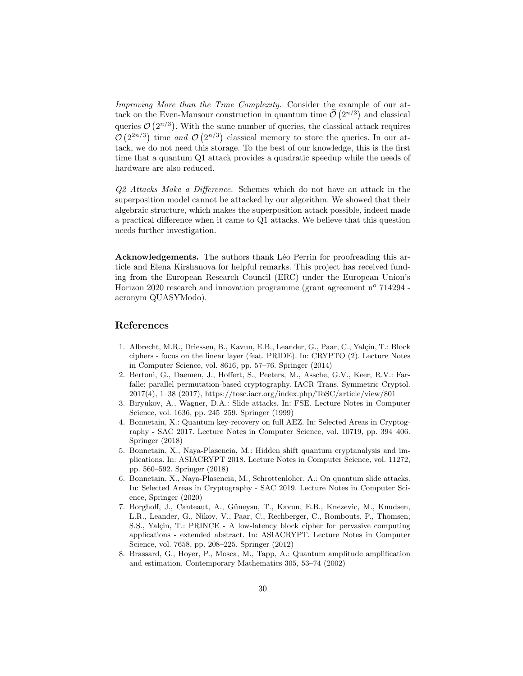Improving More than the Time Complexity. Consider the example of our attack on the Even-Mansour construction in quantum time  $\tilde{\mathcal{O}}(2^{n/3})$  and classical queries  $\mathcal{O}(2^{n/3})$ . With the same number of queries, the classical attack requires  $\mathcal{O}(2^{2n/3})$  time and  $\mathcal{O}(2^{n/3})$  classical memory to store the queries. In our attack, we do not need this storage. To the best of our knowledge, this is the first time that a quantum Q1 attack provides a quadratic speedup while the needs of hardware are also reduced.

Q2 Attacks Make a Difference. Schemes which do not have an attack in the superposition model cannot be attacked by our algorithm. We showed that their algebraic structure, which makes the superposition attack possible, indeed made a practical difference when it came to Q1 attacks. We believe that this question needs further investigation.

Acknowledgements. The authors thank Léo Perrin for proofreading this article and Elena Kirshanova for helpful remarks. This project has received funding from the European Research Council (ERC) under the European Union's Horizon 2020 research and innovation programme (grant agreement  $n^{\circ}$  714294 acronym QUASYModo).

# References

- 1. Albrecht, M.R., Driessen, B., Kavun, E.B., Leander, G., Paar, C., Yalçin, T.: Block ciphers - focus on the linear layer (feat. PRIDE). In: CRYPTO (2). Lecture Notes in Computer Science, vol. 8616, pp. 57–76. Springer (2014)
- 2. Bertoni, G., Daemen, J., Hoffert, S., Peeters, M., Assche, G.V., Keer, R.V.: Farfalle: parallel permutation-based cryptography. IACR Trans. Symmetric Cryptol. 2017(4), 1–38 (2017), https://tosc.iacr.org/index.php/ToSC/article/view/801
- 3. Biryukov, A., Wagner, D.A.: Slide attacks. In: FSE. Lecture Notes in Computer Science, vol. 1636, pp. 245–259. Springer (1999)
- 4. Bonnetain, X.: Quantum key-recovery on full AEZ. In: Selected Areas in Cryptography - SAC 2017. Lecture Notes in Computer Science, vol. 10719, pp. 394–406. Springer (2018)
- 5. Bonnetain, X., Naya-Plasencia, M.: Hidden shift quantum cryptanalysis and implications. In: ASIACRYPT 2018. Lecture Notes in Computer Science, vol. 11272, pp. 560–592. Springer (2018)
- 6. Bonnetain, X., Naya-Plasencia, M., Schrottenloher, A.: On quantum slide attacks. In: Selected Areas in Cryptography - SAC 2019. Lecture Notes in Computer Science, Springer (2020)
- 7. Borghoff, J., Canteaut, A., Güneysu, T., Kavun, E.B., Knezevic, M., Knudsen, L.R., Leander, G., Nikov, V., Paar, C., Rechberger, C., Rombouts, P., Thomsen, S.S., Yalçin, T.: PRINCE - A low-latency block cipher for pervasive computing applications - extended abstract. In: ASIACRYPT. Lecture Notes in Computer Science, vol. 7658, pp. 208–225. Springer (2012)
- 8. Brassard, G., Hoyer, P., Mosca, M., Tapp, A.: Quantum amplitude amplification and estimation. Contemporary Mathematics 305, 53–74 (2002)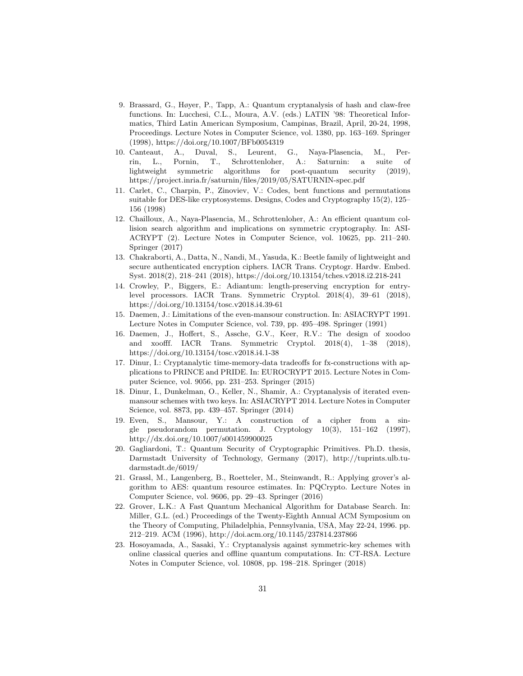- 9. Brassard, G., Høyer, P., Tapp, A.: Quantum cryptanalysis of hash and claw-free functions. In: Lucchesi, C.L., Moura, A.V. (eds.) LATIN '98: Theoretical Informatics, Third Latin American Symposium, Campinas, Brazil, April, 20-24, 1998, Proceedings. Lecture Notes in Computer Science, vol. 1380, pp. 163–169. Springer (1998), https://doi.org/10.1007/BFb0054319
- 10. Canteaut, A., Duval, S., Leurent, G., Naya-Plasencia, M., Perrin, L., Pornin, T., Schrottenloher, A.: Saturnin: a suite of lightweight symmetric algorithms for post-quantum security (2019), https://project.inria.fr/saturnin/files/2019/05/SATURNIN-spec.pdf
- 11. Carlet, C., Charpin, P., Zinoviev, V.: Codes, bent functions and permutations suitable for DES-like cryptosystems. Designs, Codes and Cryptography 15(2), 125– 156 (1998)
- 12. Chailloux, A., Naya-Plasencia, M., Schrottenloher, A.: An efficient quantum collision search algorithm and implications on symmetric cryptography. In: ASI-ACRYPT (2). Lecture Notes in Computer Science, vol. 10625, pp. 211–240. Springer (2017)
- 13. Chakraborti, A., Datta, N., Nandi, M., Yasuda, K.: Beetle family of lightweight and secure authenticated encryption ciphers. IACR Trans. Cryptogr. Hardw. Embed. Syst. 2018(2), 218–241 (2018), https://doi.org/10.13154/tches.v2018.i2.218-241
- 14. Crowley, P., Biggers, E.: Adiantum: length-preserving encryption for entrylevel processors. IACR Trans. Symmetric Cryptol. 2018(4), 39–61 (2018), https://doi.org/10.13154/tosc.v2018.i4.39-61
- 15. Daemen, J.: Limitations of the even-mansour construction. In: ASIACRYPT 1991. Lecture Notes in Computer Science, vol. 739, pp. 495–498. Springer (1991)
- 16. Daemen, J., Hoffert, S., Assche, G.V., Keer, R.V.: The design of xoodoo and xoofff. IACR Trans. Symmetric Cryptol. 2018(4), 1–38 (2018), https://doi.org/10.13154/tosc.v2018.i4.1-38
- 17. Dinur, I.: Cryptanalytic time-memory-data tradeoffs for fx-constructions with applications to PRINCE and PRIDE. In: EUROCRYPT 2015. Lecture Notes in Computer Science, vol. 9056, pp. 231–253. Springer (2015)
- 18. Dinur, I., Dunkelman, O., Keller, N., Shamir, A.: Cryptanalysis of iterated evenmansour schemes with two keys. In: ASIACRYPT 2014. Lecture Notes in Computer Science, vol. 8873, pp. 439–457. Springer (2014)
- 19. Even, S., Mansour, Y.: A construction of a cipher from a single pseudorandom permutation. J. Cryptology 10(3), 151–162 (1997), http://dx.doi.org/10.1007/s001459900025
- 20. Gagliardoni, T.: Quantum Security of Cryptographic Primitives. Ph.D. thesis, Darmstadt University of Technology, Germany (2017), http://tuprints.ulb.tudarmstadt.de/6019/
- 21. Grassl, M., Langenberg, B., Roetteler, M., Steinwandt, R.: Applying grover's algorithm to AES: quantum resource estimates. In: PQCrypto. Lecture Notes in Computer Science, vol. 9606, pp. 29–43. Springer (2016)
- 22. Grover, L.K.: A Fast Quantum Mechanical Algorithm for Database Search. In: Miller, G.L. (ed.) Proceedings of the Twenty-Eighth Annual ACM Symposium on the Theory of Computing, Philadelphia, Pennsylvania, USA, May 22-24, 1996. pp. 212–219. ACM (1996), http://doi.acm.org/10.1145/237814.237866
- 23. Hosoyamada, A., Sasaki, Y.: Cryptanalysis against symmetric-key schemes with online classical queries and offline quantum computations. In: CT-RSA. Lecture Notes in Computer Science, vol. 10808, pp. 198–218. Springer (2018)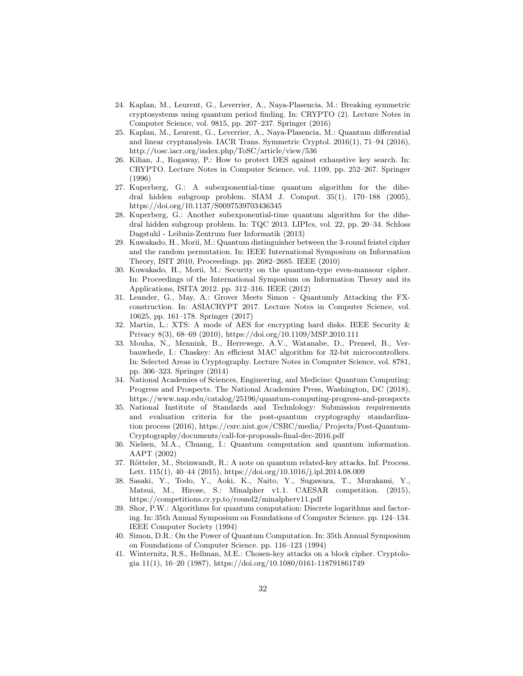- 24. Kaplan, M., Leurent, G., Leverrier, A., Naya-Plasencia, M.: Breaking symmetric cryptosystems using quantum period finding. In: CRYPTO (2). Lecture Notes in Computer Science, vol. 9815, pp. 207–237. Springer (2016)
- 25. Kaplan, M., Leurent, G., Leverrier, A., Naya-Plasencia, M.: Quantum differential and linear cryptanalysis. IACR Trans. Symmetric Cryptol. 2016(1), 71–94 (2016), http://tosc.iacr.org/index.php/ToSC/article/view/536
- 26. Kilian, J., Rogaway, P.: How to protect DES against exhaustive key search. In: CRYPTO. Lecture Notes in Computer Science, vol. 1109, pp. 252–267. Springer (1996)
- 27. Kuperberg, G.: A subexponential-time quantum algorithm for the dihedral hidden subgroup problem. SIAM J. Comput. 35(1), 170–188 (2005), https://doi.org/10.1137/S0097539703436345
- 28. Kuperberg, G.: Another subexponential-time quantum algorithm for the dihedral hidden subgroup problem. In: TQC 2013. LIPIcs, vol. 22, pp. 20–34. Schloss Dagstuhl - Leibniz-Zentrum fuer Informatik (2013)
- 29. Kuwakado, H., Morii, M.: Quantum distinguisher between the 3-round feistel cipher and the random permutation. In: IEEE International Symposium on Information Theory, ISIT 2010, Proceedings. pp. 2682–2685. IEEE (2010)
- 30. Kuwakado, H., Morii, M.: Security on the quantum-type even-mansour cipher. In: Proceedings of the International Symposium on Information Theory and its Applications, ISITA 2012. pp. 312–316. IEEE (2012)
- 31. Leander, G., May, A.: Grover Meets Simon Quantumly Attacking the FXconstruction. In: ASIACRYPT 2017. Lecture Notes in Computer Science, vol. 10625, pp. 161–178. Springer (2017)
- 32. Martin, L.: XTS: A mode of AES for encrypting hard disks. IEEE Security & Privacy 8(3), 68–69 (2010), https://doi.org/10.1109/MSP.2010.111
- 33. Mouha, N., Mennink, B., Herrewege, A.V., Watanabe, D., Preneel, B., Verbauwhede, I.: Chaskey: An efficient MAC algorithm for 32-bit microcontrollers. In: Selected Areas in Cryptography. Lecture Notes in Computer Science, vol. 8781, pp. 306–323. Springer (2014)
- 34. National Academies of Sciences, Engineering, and Medicine: Quantum Computing: Progress and Prospects. The National Academies Press, Washington, DC (2018), https://www.nap.edu/catalog/25196/quantum-computing-progress-and-prospects
- 35. National Institute of Standards and Technlology: Submission requirements and evaluation criteria for the post-quantum cryptography standardization process (2016), https://csrc.nist.gov/CSRC/media/ Projects/Post-Quantum-Cryptography/documents/call-for-proposals-final-dec-2016.pdf
- 36. Nielsen, M.A., Chuang, I.: Quantum computation and quantum information. AAPT (2002)
- 37. Rötteler, M., Steinwandt, R.: A note on quantum related-key attacks. Inf. Process. Lett. 115(1), 40–44 (2015), https://doi.org/10.1016/j.ipl.2014.08.009
- 38. Sasaki, Y., Todo, Y., Aoki, K., Naito, Y., Sugawara, T., Murakami, Y., Matsui, M., Hirose, S.: Minalpher v1.1. CAESAR competition. (2015), https://competitions.cr.yp.to/round2/minalpherv11.pdf
- 39. Shor, P.W.: Algorithms for quantum computation: Discrete logarithms and factoring. In: 35th Annual Symposium on Foundations of Computer Science. pp. 124–134. IEEE Computer Society (1994)
- 40. Simon, D.R.: On the Power of Quantum Computation. In: 35th Annual Symposium on Foundations of Computer Science. pp. 116–123 (1994)
- 41. Winternitz, R.S., Hellman, M.E.: Chosen-key attacks on a block cipher. Cryptologia 11(1), 16–20 (1987), https://doi.org/10.1080/0161-118791861749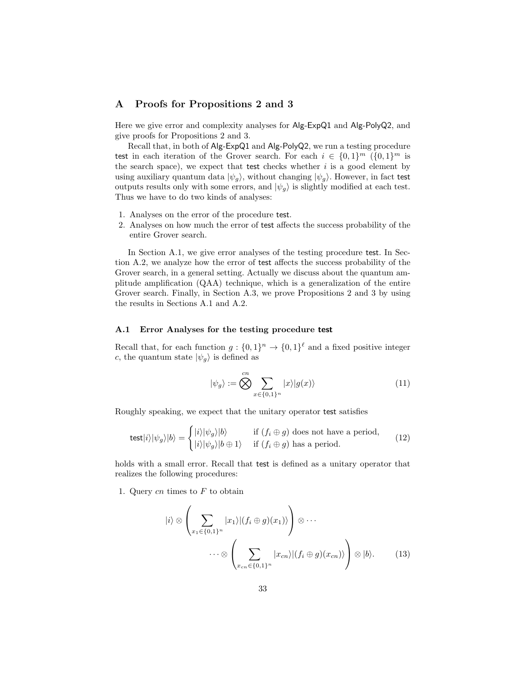### A Proofs for Propositions 2 and 3

Here we give error and complexity analyses for Alg-ExpQ1 and Alg-PolyQ2, and give proofs for Propositions 2 and 3.

Recall that, in both of Alg-ExpQ1 and Alg-PolyQ2, we run a testing procedure test in each iteration of the Grover search. For each  $i \in \{0,1\}^m$  ( $\{0,1\}^m$  is the search space), we expect that test checks whether  $i$  is a good element by using auxiliary quantum data  $|\psi_q\rangle$ , without changing  $|\psi_q\rangle$ . However, in fact test outputs results only with some errors, and  $|\psi_q\rangle$  is slightly modified at each test. Thus we have to do two kinds of analyses:

- 1. Analyses on the error of the procedure test.
- 2. Analyses on how much the error of test affects the success probability of the entire Grover search.

In Section A.1, we give error analyses of the testing procedure test. In Section A.2, we analyze how the error of test affects the success probability of the Grover search, in a general setting. Actually we discuss about the quantum amplitude amplification (QAA) technique, which is a generalization of the entire Grover search. Finally, in Section A.3, we prove Propositions 2 and 3 by using the results in Sections A.1 and A.2.

### A.1 Error Analyses for the testing procedure test

Recall that, for each function  $g: \{0,1\}^n \to \{0,1\}^{\ell}$  and a fixed positive integer c, the quantum state  $|\psi_a\rangle$  is defined as

$$
|\psi_g\rangle := \bigotimes_{x \in \{0,1\}^n} \sum_{x \in \{0,1\}^n} |x\rangle |g(x)\rangle \tag{11}
$$

Roughly speaking, we expect that the unitary operator test satisfies

$$
\text{test}|i\rangle|\psi_g\rangle|b\rangle = \begin{cases} |i\rangle|\psi_g\rangle|b\rangle & \text{if } (f_i \oplus g) \text{ does not have a period,} \\ |i\rangle|\psi_g\rangle|b \oplus 1\rangle & \text{if } (f_i \oplus g) \text{ has a period.} \end{cases}
$$
(12)

holds with a small error. Recall that test is defined as a unitary operator that realizes the following procedures:

1. Query  $cn$  times to  $F$  to obtain

$$
|i\rangle \otimes \left(\sum_{x_1 \in \{0,1\}^n} |x_1\rangle |(f_i \oplus g)(x_1)\rangle \right) \otimes \cdots
$$

$$
\cdots \otimes \left(\sum_{x_{cn} \in \{0,1\}^n} |x_{cn}\rangle |(f_i \oplus g)(x_{cn})\rangle \right) \otimes |b\rangle. \tag{13}
$$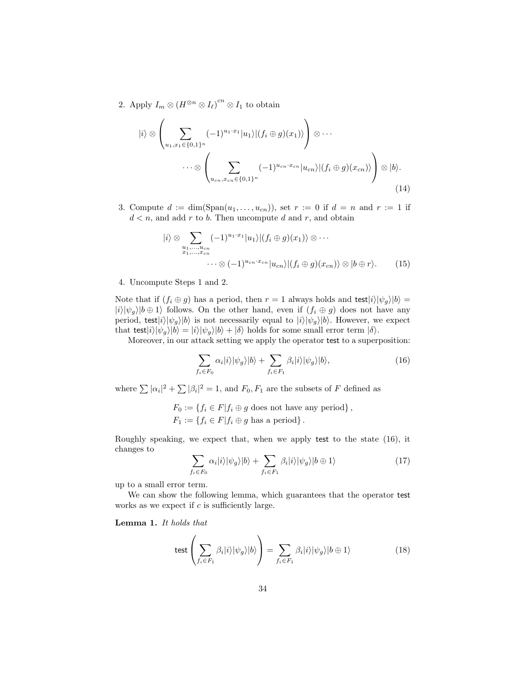2. Apply  $I_m \otimes (H^{\otimes n} \otimes I_\ell)^{cn} \otimes I_1$  to obtain

$$
|i\rangle \otimes \left(\sum_{u_1, x_1 \in \{0, 1\}^n} (-1)^{u_1 \cdot x_1} |u_1\rangle |(f_i \oplus g)(x_1)\rangle \right) \otimes \cdots
$$

$$
\cdots \otimes \left(\sum_{u_{cn}, x_{cn} \in \{0, 1\}^n} (-1)^{u_{cn} \cdot x_{cn}} |u_{cn}\rangle |(f_i \oplus g)(x_{cn})\rangle \right) \otimes |b\rangle.
$$
(14)

3. Compute  $d := \dim(\text{Span}(u_1, \ldots, u_{cn}))$ , set  $r := 0$  if  $d = n$  and  $r := 1$  if  $d < n$ , and add r to b. Then uncompute d and r, and obtain

$$
|i\rangle \otimes \sum_{\substack{u_1,\ldots,u_{cn} \\ x_1,\ldots,x_{cn}}} (-1)^{u_1 \cdot x_1} |u_1\rangle |(f_i \oplus g)(x_1)\rangle \otimes \cdots
$$

$$
\cdots \otimes (-1)^{u_{cn} \cdot x_{cn}} |u_{cn}\rangle |(f_i \oplus g)(x_{cn})\rangle \otimes |b \oplus r\rangle. \qquad (15)
$$

#### 4. Uncompute Steps 1 and 2.

Note that if  $(f_i \oplus g)$  has a period, then  $r = 1$  always holds and test $|i\rangle |\psi_g\rangle |b\rangle =$  $|i\rangle|\psi_g\rangle|b\oplus 1\rangle$  follows. On the other hand, even if  $(f_i \oplus g)$  does not have any period, test $|i\rangle|\psi_g\rangle|b\rangle$  is not necessarily equal to  $|i\rangle|\psi_g\rangle|b\rangle$ . However, we expect that test $|i\rangle|\psi_g\rangle|b\rangle = |i\rangle|\psi_g\rangle|b\rangle + |\delta\rangle$  holds for some small error term  $|\delta\rangle$ .

Moreover, in our attack setting we apply the operator test to a superposition:

$$
\sum_{f_i \in F_0} \alpha_i |i\rangle |\psi_g\rangle |b\rangle + \sum_{f_i \in F_1} \beta_i |i\rangle |\psi_g\rangle |b\rangle, \tag{16}
$$

where  $\sum |\alpha_i|^2 + \sum |\beta_i|^2 = 1$ , and  $F_0, F_1$  are the subsets of F defined as

 $F_0 := \{f_i \in F | f_i \oplus g \text{ does not have any period}\},\$  $F_1 := \{f_i \in F | f_i \oplus g \text{ has a period}\}\.$ 

Roughly speaking, we expect that, when we apply test to the state (16), it changes to

$$
\sum_{f_i \in F_0} \alpha_i |i\rangle |\psi_g\rangle |b\rangle + \sum_{f_i \in F_1} \beta_i |i\rangle |\psi_g\rangle |b \oplus 1\rangle \tag{17}
$$

up to a small error term.

We can show the following lemma, which guarantees that the operator test works as we expect if  $c$  is sufficiently large.

Lemma 1. It holds that

$$
\text{test}\left(\sum_{f_i \in F_1} \beta_i |i\rangle |\psi_g\rangle |b\rangle\right) = \sum_{f_i \in F_1} \beta_i |i\rangle |\psi_g\rangle |b \oplus 1\rangle\tag{18}
$$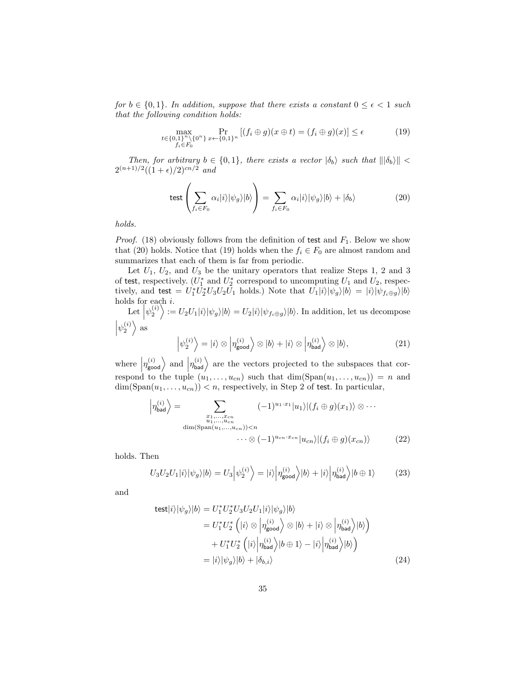for  $b \in \{0,1\}$ . In addition, suppose that there exists a constant  $0 \leq \epsilon < 1$  such that the following condition holds:

$$
\max_{\substack{t \in \{0,1\}^n \setminus \{0^n\} \ x \leftarrow \{0,1\}^n}} \Pr_{\substack{(f_i \oplus g)(x \oplus t) = (f_i \oplus g)(x)] \le \epsilon} \epsilon
$$
\n(19)

Then, for arbitrary  $b \in \{0,1\}$ , there exists a vector  $|\delta_b\rangle$  such that  $||\delta_b\rangle|| <$  $2^{(n+1)/2}((1+\epsilon)/2)^{cn/2}$  and

$$
\text{test}\left(\sum_{f_i \in F_0} \alpha_i |i\rangle |\psi_g\rangle |b\rangle\right) = \sum_{f_i \in F_0} \alpha_i |i\rangle |\psi_g\rangle |b\rangle + |\delta_b\rangle\tag{20}
$$

holds.

*Proof.* (18) obviously follows from the definition of test and  $F_1$ . Below we show that (20) holds. Notice that (19) holds when the  $f_i \in F_0$  are almost random and summarizes that each of them is far from periodic.

Let  $U_1$ ,  $U_2$ , and  $U_3$  be the unitary operators that realize Steps 1, 2 and 3 of test, respectively.  $(U_1^*$  and  $U_2^*$  correspond to uncomputing  $U_1$  and  $U_2$ , respectively, and test =  $U_1^* U_2^* U_3 U_2 U_1$  holds.) Note that  $U_1|i\rangle |\psi_g\rangle |b\rangle = |i\rangle |\psi_{f_i\oplus g}\rangle |b\rangle$ holds for each *i*.

Let  $\langle \psi_2^{(i)} \rangle := U_2 U_1 |i\rangle |\psi_g\rangle |b\rangle = U_2 |i\rangle |\psi_{fi\oplus g}\rangle |b\rangle$ . In addition, let us decompose  $\vert_{\gamma/2}(i)\setminus$  $|\psi_2^{(i)}\rangle$  as

$$
\left|\psi_2^{(i)}\right\rangle = |i\rangle \otimes \left|\eta_{\text{good}}^{(i)}\right\rangle \otimes |b\rangle + |i\rangle \otimes \left|\eta_{\text{bad}}^{(i)}\right\rangle \otimes |b\rangle,\tag{21}
$$

where  $\left|\eta_{\text{good}}^{(i)}\right\rangle$  and  $\left|\eta_{\text{bad}}^{(i)}\right\rangle$  are the vectors projected to the subspaces that correspond to the tuple  $(u_1, \ldots, u_{cn})$  such that  $\dim(\text{Span}(u_1, \ldots, u_{cn})) = n$  and  $\dim(\text{Span}(u_1, \ldots, u_{cn})) < n$ , respectively, in Step 2 of test. In particular,

$$
\left|\eta_{\text{bad}}^{(i)}\right\rangle = \sum_{\substack{x_1,\ldots,x_{cn} \\ u_1,\ldots,u_{cn} \\ \dim(\text{Span}(u_1,\ldots,u_{cn})) < n}} (-1)^{u_1 \cdot x_1} |u_1\rangle |(f_i \oplus g)(x_1)\rangle \otimes \cdots
$$

$$
\cdots \otimes (-1)^{u_{cn} \cdot x_{cn}} |u_{cn}\rangle |(f_i \oplus g)(x_{cn})\rangle \tag{22}
$$

holds. Then

$$
U_3 U_2 U_1 |i\rangle |\psi_g\rangle |b\rangle = U_3 \left| \psi_2^{(i)} \right\rangle = |i\rangle \left| \eta_{\text{good}}^{(i)} \right\rangle |b\rangle + |i\rangle \left| \eta_{\text{bad}}^{(i)} \right\rangle |b \oplus 1\rangle \tag{23}
$$

and

test
$$
|i\rangle |\psi_g\rangle |b\rangle = U_1^* U_2^* U_3 U_2 U_1 |i\rangle |\psi_g\rangle |b\rangle
$$
  
\n
$$
= U_1^* U_2^* \left( |i\rangle \otimes \left| \eta_{\text{good}}^{(i)} \right\rangle \otimes |b\rangle + |i\rangle \otimes \left| \eta_{\text{bad}}^{(i)} \right\rangle |b\rangle \right)
$$
  
\n
$$
+ U_1^* U_2^* \left( |i\rangle \left| \eta_{\text{bad}}^{(i)} \right\rangle |b \oplus 1\rangle - |i\rangle \left| \eta_{\text{bad}}^{(i)} \right\rangle |b\rangle \right)
$$
  
\n
$$
= |i\rangle |\psi_g\rangle |b\rangle + |\delta_{b,i}\rangle
$$
 (24)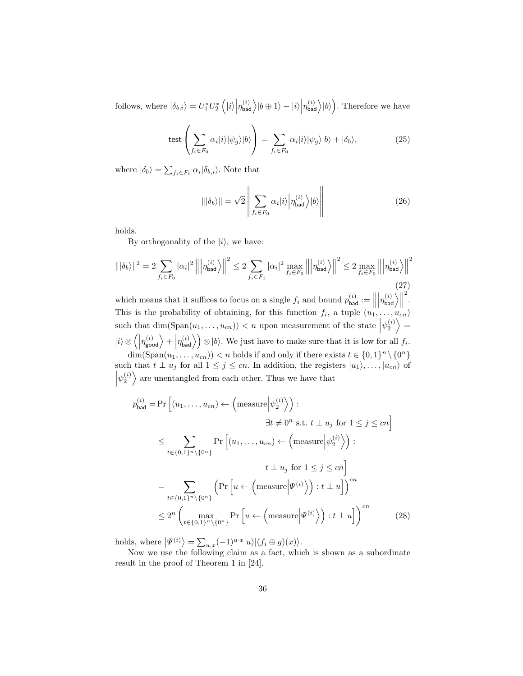follows, where  $|\delta_{b,i}\rangle = U_1^* U_2^* \left( |i\rangle \Big| \eta_{\text{bad}}^{(i)} \Big\rangle |b \oplus 1\rangle - |i\rangle \Big| \eta_{\text{bad}}^{(i)} \Big\rangle |b\rangle \right)$ . Therefore we have

$$
\text{test}\left(\sum_{f_i \in F_0} \alpha_i |i\rangle |\psi_g\rangle |b\rangle\right) = \sum_{f_i \in F_0} \alpha_i |i\rangle |\psi_g\rangle |b\rangle + |\delta_b\rangle,\tag{25}
$$

where  $|\delta_b\rangle = \sum_{f_i \in F_0} \alpha_i |\delta_{b,i}\rangle$ . Note that

$$
\|\left|\delta_{b}\right\rangle\| = \sqrt{2} \left\| \sum_{f_{i} \in F_{0}} \alpha_{i} |i\rangle \left| \eta_{\text{bad}}^{(i)} \right\rangle |b\rangle \right\| \tag{26}
$$

holds.

By orthogonality of the  $|i\rangle$ , we have:

$$
\| |\delta_b\rangle \|^2 = 2 \sum_{f_i \in F_0} |\alpha_i|^2 \left\| \left| \eta_{\text{bad}}^{(i)} \right\rangle \right\|^2 \le 2 \sum_{f_i \in F_0} |\alpha_i|^2 \max_{f_i \in F_0} \left\| \left| \eta_{\text{bad}}^{(i)} \right\rangle \right\|^2 \le 2 \max_{f_i \in F_0} \left\| \left| \eta_{\text{bad}}^{(i)} \right\rangle \right\|^2 \tag{27}
$$

which means that it suffices to focus on a single  $f_i$  and bound  $p_{\text{bad}}^{(i)} := \|\cdot\|$  $\left|\eta_\mathsf{bad}^{(i)}\right>\right|$ 2 . This is the probability of obtaining, for this function  $f_i$ , a tuple  $(u_1, \ldots, u_{cn})$ such that  $\dim(\text{Span}(u_1,\ldots,u_{cn})) < n$  upon measurement of the state  $|\psi_2^{(i)}\rangle =$  $|i\rangle \otimes (| \eta_{\text{good}}^{(i)} \rangle + | \eta_{\text{bad}}^{(i)} \rangle) \otimes |b\rangle$ . We just have to make sure that it is low for all  $f_i$ .  $\dim(\text{Span}(u_1, \ldots, u_{cn})) < n$  holds if and only if there exists  $t \in \{0, 1\}^n \setminus \{0^n\}$ such that  $t \perp u_j$  for all  $1 \leq j \leq cn$ . In addition, the registers  $|u_1\rangle, \ldots, |u_{cn}\rangle$  of  $\left|\psi_2^{(i)}\right\rangle$  are unentangled from each other. Thus we have that

$$
p_{\text{bad}}^{(i)} = \Pr\left[ (u_1, \dots, u_{cn}) \leftarrow \left( \text{measure} \Big| \psi_2^{(i)} \right) \right) : \n\exists t \neq 0^n \text{ s.t. } t \perp u_j \text{ for } 1 \leq j \leq cn \right] \n\leq \sum_{t \in \{0,1\}^n \setminus \{0^n\}} \Pr\left[ (u_1, \dots, u_{cn}) \leftarrow \left( \text{measure} \Big| \psi_2^{(i)} \right) \right) : \n\quad t \perp u_j \text{ for } 1 \leq j \leq cn \right] \n= \sum_{t \in \{0,1\}^n \setminus \{0^n\}} \left( \Pr\left[ u \leftarrow \left( \text{measure} \Big| \Psi^{(i)} \right) \right) : t \perp u \right] \right)^{cn} \n\leq 2^n \left( \max_{t \in \{0,1\}^n \setminus \{0^n\}} \Pr\left[ u \leftarrow \left( \text{measure} \Big| \Psi^{(i)} \right) \right) : t \perp u \right] \right)^{cn}
$$
\n(28)

holds, where  $|\Psi^{(i)}\rangle = \sum_{u,x} (-1)^{u \cdot x} |u\rangle |(f_i \oplus g)(x)\rangle$ .

Now we use the following claim as a fact, which is shown as a subordinate result in the proof of Theorem 1 in [24].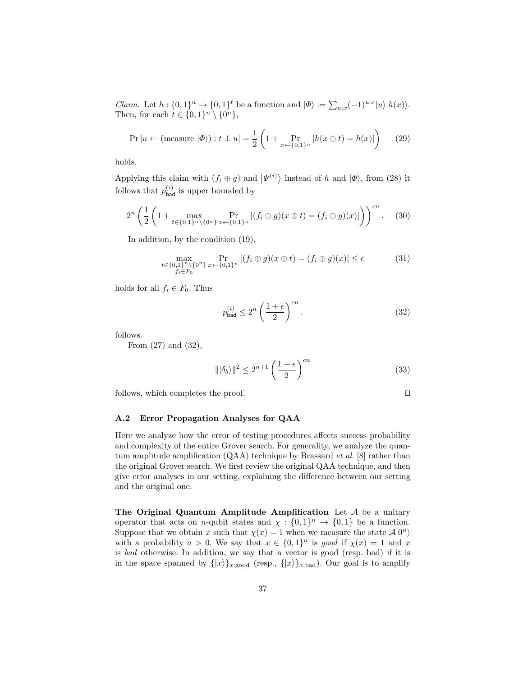*Claim.* Let  $h: \{0,1\}^n \to \{0,1\}^{\ell}$  be a function and  $|\Phi\rangle := \sum_{u,x}(-1)^{u \cdot x}|u\rangle |h(x)\rangle$ . Then, for each  $t \in \{0,1\}^n \setminus \{0^n\},\$ 

$$
\Pr\left[u \leftarrow \left(\text{measure }|\Phi\rangle\right) : t \perp u\right] = \frac{1}{2} \left(1 + \Pr_{x \leftarrow \{0,1\}^n} \left[h(x \oplus t) = h(x)\right]\right) \tag{29}
$$

holds.

Applying this claim with  $(f_i \oplus g)$  and  $|\Psi^{(i)}\rangle$  instead of h and  $|\Phi\rangle$ , from (28) it follows that  $p_{\text{bad}}^{(i)}$  is upper bounded by

$$
2^{n} \left( \frac{1}{2} \left( 1 + \max_{t \in \{0,1\}^n \setminus \{0^n\}} \Pr_{x \leftarrow \{0,1\}^n} \left[ (f_i \oplus g)(x \oplus t) = (f_i \oplus g)(x) \right] \right) \right)^{cn}.
$$
 (30)

In addition, by the condition (19),

$$
\max_{\substack{t \in \{0,1\}^n \setminus \{0^n\} \ x \leftarrow \{0,1\}^n}} \Pr_{\substack{(f_i \oplus g)(x \oplus t) = (f_i \oplus g)(x)] \le \epsilon} \tag{31}
$$

holds for all  $f_i \in F_0$ . Thus

$$
p_{\text{bad}}^{(i)} \le 2^n \left(\frac{1+\epsilon}{2}\right)^{cn}.\tag{32}
$$

follows.

From (27) and (32),

$$
\|\delta_b\|^2 \le 2^{n+1} \left(\frac{1+\epsilon}{2}\right)^{cn} \tag{33}
$$

follows, which completes the proof.

$$
\Box
$$

### A.2 Error Propagation Analyses for QAA

Here we analyze how the error of testing procedures affects success probability and complexity of the entire Grover search. For generality, we analyze the quantum amplitude amplification  $(QAA)$  technique by Brassard *et al.* [8] rather than the original Grover search. We first review the original QAA technique, and then give error analyses in our setting, explaining the difference between our setting and the original one.

The Original Quantum Amplitude Amplification Let  $A$  be a unitary operator that acts on *n*-qubit states and  $\chi : \{0,1\}^n \to \{0,1\}$  be a function. Suppose that we obtain x such that  $\chi(x) = 1$  when we measure the state  $\mathcal{A}|0^n\rangle$ with a probability  $a > 0$ . We say that  $x \in \{0,1\}^n$  is good if  $\chi(x) = 1$  and x is bad otherwise. In addition, we say that a vector is good (resp. bad) if it is in the space spanned by  $\{|x\rangle\}_{x:\text{good}}$  (resp.,  $\{|x\rangle\}_{x:\text{bad}}$ ). Our goal is to amplify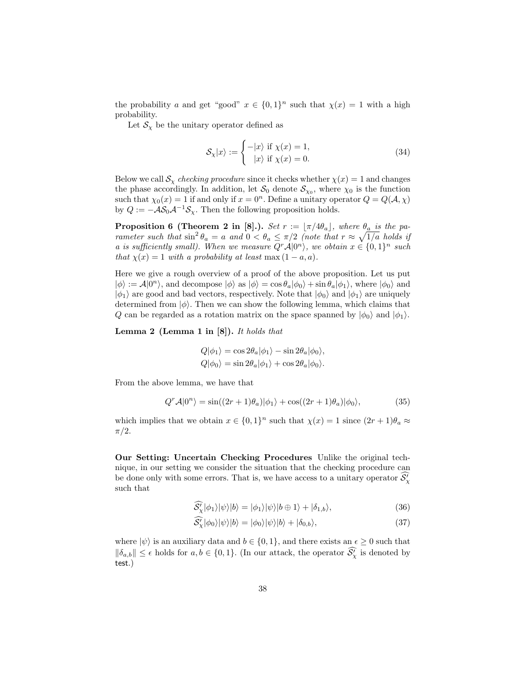the probability a and get "good"  $x \in \{0,1\}^n$  such that  $\chi(x) = 1$  with a high probability.

Let  $\mathcal{S}_{\chi}$  be the unitary operator defined as

$$
\mathcal{S}_{\chi}|x\rangle := \begin{cases} -|x\rangle & \text{if } \chi(x) = 1, \\ |x\rangle & \text{if } \chi(x) = 0. \end{cases}
$$
 (34)

Below we call  $\mathcal{S}_\chi$  checking procedure since it checks whether  $\chi(x) = 1$  and changes the phase accordingly. In addition, let  $S_0$  denote  $S_{\chi_0}$ , where  $\chi_0$  is the function such that  $\chi_0(x) = 1$  if and only if  $x = 0^n$ . Define a unitary operator  $Q = Q(\mathcal{A}, \chi)$ by  $Q := -\mathcal{A}\mathcal{S}_0\mathcal{A}^{-1}\mathcal{S}_\chi$ . Then the following proposition holds.

**Proposition 6 (Theorem 2 in [8].).** Set  $r := |\pi/4\theta_a|$ , where  $\theta_a$  is the parameter such that  $\sin^2 \theta_a = a$  and  $0 < \theta_a \leq \pi/2$  (note that  $r \approx \sqrt{1/a}$  holds if a is sufficiently small). When we measure  $Q^r \mathcal{A} | 0^n$ , we obtain  $x \in \{0,1\}^n$  such that  $\chi(x) = 1$  with a probability at least max  $(1 - a, a)$ .

Here we give a rough overview of a proof of the above proposition. Let us put  $|\phi\rangle := \mathcal{A}|0^n\rangle$ , and decompose  $|\phi\rangle$  as  $|\phi\rangle = \cos\theta_a |\phi_0\rangle + \sin\theta_a |\phi_1\rangle$ , where  $|\phi_0\rangle$  and  $|\phi_1\rangle$  are good and bad vectors, respectively. Note that  $|\phi_0\rangle$  and  $|\phi_1\rangle$  are uniquely determined from  $|\phi\rangle$ . Then we can show the following lemma, which claims that Q can be regarded as a rotation matrix on the space spanned by  $|\phi_0\rangle$  and  $|\phi_1\rangle$ .

Lemma 2 (Lemma 1 in  $[8]$ ). It holds that

$$
Q|\phi_1\rangle = \cos 2\theta_a |\phi_1\rangle - \sin 2\theta_a |\phi_0\rangle,
$$
  
\n
$$
Q|\phi_0\rangle = \sin 2\theta_a |\phi_1\rangle + \cos 2\theta_a |\phi_0\rangle.
$$

From the above lemma, we have that

$$
Q^r \mathcal{A} |0^n\rangle = \sin((2r+1)\theta_a)|\phi_1\rangle + \cos((2r+1)\theta_a)|\phi_0\rangle,\tag{35}
$$

which implies that we obtain  $x \in \{0,1\}^n$  such that  $\chi(x) = 1$  since  $(2r+1)\theta_a \approx$  $\pi/2$ .

Our Setting: Uncertain Checking Procedures Unlike the original technique, in our setting we consider the situation that the checking procedure can be done only with some errors. That is, we have access to a unitary operator  $\mathcal{S}_{\chi}^{\gamma}$ such that

$$
\widehat{S'_{\lambda}}|\phi_1\rangle|\psi\rangle|b\rangle = |\phi_1\rangle|\psi\rangle|b\oplus 1\rangle + |\delta_{1,b}\rangle,\tag{36}
$$

$$
\widehat{S}_{\chi}|\phi_0\rangle|\psi\rangle|b\rangle = |\phi_0\rangle|\psi\rangle|b\rangle + |\delta_{0,b}\rangle,\tag{37}
$$

where  $|\psi\rangle$  is an auxiliary data and  $b \in \{0, 1\}$ , and there exists an  $\epsilon \geq 0$  such that  $\|\delta_{a,b}\| \leq \epsilon$  holds for  $a, b \in \{0, 1\}$ . (In our attack, the operator  $\mathcal{S}'_{\chi}$  is denoted by test.)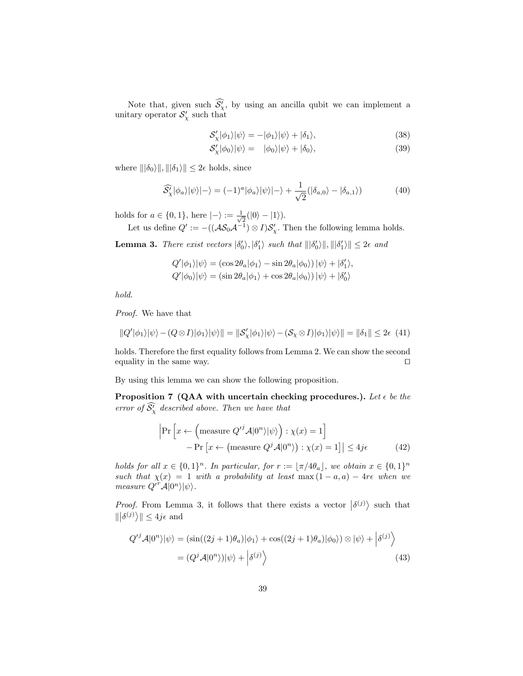Note that, given such  $S'_\chi$ , by using an ancilla qubit we can implement a unitary operator  $S'_{\chi}$  such that

$$
\mathcal{S}'_{\chi}|\phi_1\rangle|\psi\rangle = -|\phi_1\rangle|\psi\rangle + |\delta_1\rangle,\tag{38}
$$

$$
S'_{\chi}|\phi_0\rangle|\psi\rangle = |\phi_0\rangle|\psi\rangle + |\delta_0\rangle,\tag{39}
$$

where  $\| \delta_0 \rangle \|$ ,  $\| \delta_1 \rangle \| \leq 2\epsilon$  holds, since

$$
\widehat{S}_{\chi}^{\prime}|\phi_{a}\rangle|\psi\rangle|-\rangle = (-1)^{a}|\phi_{a}\rangle|\psi\rangle|-\rangle + \frac{1}{\sqrt{2}}(|\delta_{a,0}\rangle - |\delta_{a,1}\rangle) \tag{40}
$$

holds for  $a \in \{0,1\}$ , here  $|-\rangle := \frac{1}{\sqrt{2}}$  $\frac{1}{2}(|0\rangle - |1\rangle).$ 

Let us define  $Q' := -((\mathcal{AS}_0 \mathcal{A}^{-1}) \otimes I)\mathcal{S}'_{\chi}$ . Then the following lemma holds.

**Lemma 3.** There exist vectors  $|\delta_0\rangle, |\delta_1\rangle$  such that  $|||\delta_0\rangle||, |||\delta_1\rangle|| \leq 2\epsilon$  and

$$
\begin{split} Q'|\phi_1\rangle|\psi\rangle &= \left(\cos2\theta_a|\phi_1\rangle - \sin2\theta_a|\phi_0\rangle\right)|\psi\rangle + |\delta_1'\rangle,\\ Q'|\phi_0\rangle|\psi\rangle &= \left(\sin2\theta_a|\phi_1\rangle + \cos2\theta_a|\phi_0\rangle\right)|\psi\rangle + |\delta_0'\rangle \end{split}
$$

hold.

Proof. We have that

$$
||Q'|\phi_1\rangle|\psi\rangle - (Q \otimes I)|\phi_1\rangle|\psi\rangle|| = ||S'_{\chi}|\phi_1\rangle|\psi\rangle - (S_{\chi} \otimes I)|\phi_1\rangle|\psi\rangle|| = ||\delta_1|| \leq 2\epsilon
$$
 (41)

holds. Therefore the first equality follows from Lemma 2. We can show the second equality in the same way.  $\Box$ 

By using this lemma we can show the following proposition.

Proposition 7 (QAA with uncertain checking procedures.). Let  $\epsilon$  be the error of  $S'_\chi$  described above. Then we have that

$$
\left| \Pr \left[ x \leftarrow \left( \text{measure } Q'^{j} \mathcal{A} | 0^{n} \rangle | \psi \rangle \right) : \chi(x) = 1 \right] - \Pr \left[ x \leftarrow \left( \text{measure } Q^{j} \mathcal{A} | 0^{n} \rangle \right) : \chi(x) = 1 \right] \right| \le 4j\epsilon \tag{42}
$$

holds for all  $x \in \{0,1\}^n$ . In particular, for  $r := \lfloor \pi/4\theta_a \rfloor$ , we obtain  $x \in \{0,1\}^n$ such that  $\chi(x) = 1$  with a probability at least max  $(1 - a, a) - 4r\epsilon$  when we measure  $Q^{\prime r} \mathcal{A} |0^n\rangle |\psi\rangle$ .

*Proof.* From Lemma 3, it follows that there exists a vector  $|\delta^{(j)}\rangle$  such that  $\| |\delta^{(j)}\rangle \| \leq 4j\epsilon$  and

$$
Q'^{j} \mathcal{A} |0^{n}\rangle |\psi\rangle = (\sin((2j+1)\theta_{a})|\phi_{1}\rangle + \cos((2j+1)\theta_{a})|\phi_{0}\rangle) \otimes |\psi\rangle + \left|\delta^{(j)}\right\rangle
$$

$$
= (Q^{j} \mathcal{A} |0^{n}\rangle)|\psi\rangle + \left|\delta^{(j)}\right\rangle
$$
(43)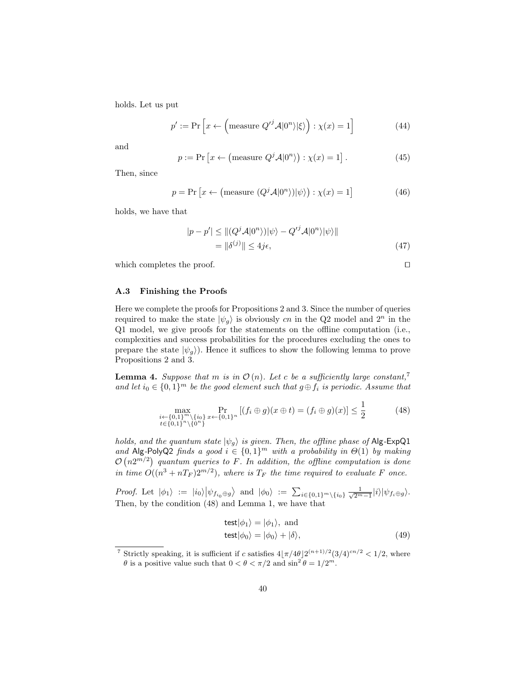holds. Let us put

$$
p' := \Pr\left[x \leftarrow \left(\text{measure } Q'^{j} \mathcal{A} | 0^{n} \rangle | \xi\rangle\right) : \chi(x) = 1\right] \tag{44}
$$

and

$$
p := \Pr\left[x \leftarrow \left(\text{measure } Q^j \mathcal{A} | 0^n \right) : \chi(x) = 1\right].\tag{45}
$$

Then, since

$$
p = \Pr\left[x \leftarrow \left(\text{measure } (Q^{j} \mathcal{A} | 0^{n})\right) | \psi\rangle\right) : \chi(x) = 1\right]
$$
\n(46)

holds, we have that

$$
|p - p'| \le ||(Q^j \mathcal{A}|0^n\rangle)|\psi\rangle - Q'^j \mathcal{A}|0^n\rangle|\psi\rangle||
$$
  
=  $\|\delta^{(j)}\| \le 4j\epsilon,$  (47)

which completes the proof.  $\Box$ 

### A.3 Finishing the Proofs

Here we complete the proofs for Propositions 2 and 3. Since the number of queries required to make the state  $|\psi_g\rangle$  is obviously cn in the Q2 model and  $2^n$  in the Q1 model, we give proofs for the statements on the offline computation (i.e., complexities and success probabilities for the procedures excluding the ones to prepare the state  $|\psi_{q}\rangle$ ). Hence it suffices to show the following lemma to prove Propositions 2 and 3.

**Lemma 4.** Suppose that m is in  $\mathcal{O}(n)$ . Let c be a sufficiently large constant,<sup>7</sup> and let  $i_0 \in \{0,1\}^m$  be the good element such that  $g \oplus f_i$  is periodic. Assume that

$$
\max_{\substack{i \leftarrow \{0,1\}^m \setminus \{i_0\} \ x \leftarrow \{0,1\}^n}} \Pr_{t \in \{0,1\}^n \setminus \{i_0\} \ x \leftarrow \{0,1\}^n} [(f_i \oplus g)(x \oplus t) = (f_i \oplus g)(x)] \le \frac{1}{2}
$$
(48)

holds, and the quantum state  $|\psi_q\rangle$  is given. Then, the offline phase of Alg-ExpQ1 and Alg-PolyQ2 finds a good  $i \in \{0,1\}^m$  with a probability in  $\Theta(1)$  by making  $\mathcal{O}(n2^{m/2})$  quantum queries to F. In addition, the offline computation is done in time  $O((n^3 + nT_F)2^{m/2})$ , where is  $T_F$  the time required to evaluate F once.

Proof. Let  $|\phi_1\rangle := |i_0\rangle |\psi_{f_{i_0}\oplus g}\rangle$  and  $|\phi_0\rangle := \sum_{i\in\{0,1\}^m\setminus\{i_0\}} \frac{1}{\sqrt{2^m-1}}|i\rangle |\psi_{f_i\oplus g}\rangle$ . Then, by the condition (48) and Lemma 1, we have that

$$
\begin{aligned} \text{test}|\phi_1\rangle &= |\phi_1\rangle, \text{ and} \\ \text{test}|\phi_0\rangle &= |\phi_0\rangle + |\delta\rangle, \end{aligned} \tag{49}
$$

<sup>&</sup>lt;sup>7</sup> Strictly speaking, it is sufficient if c satisfies  $4|\pi/4\theta|2^{(n+1)/2}(3/4)^{cn/2} < 1/2$ , where  $\theta$  is a positive value such that  $0 < \theta < \pi/2$  and  $\sin^2 \theta = 1/2^m$ .